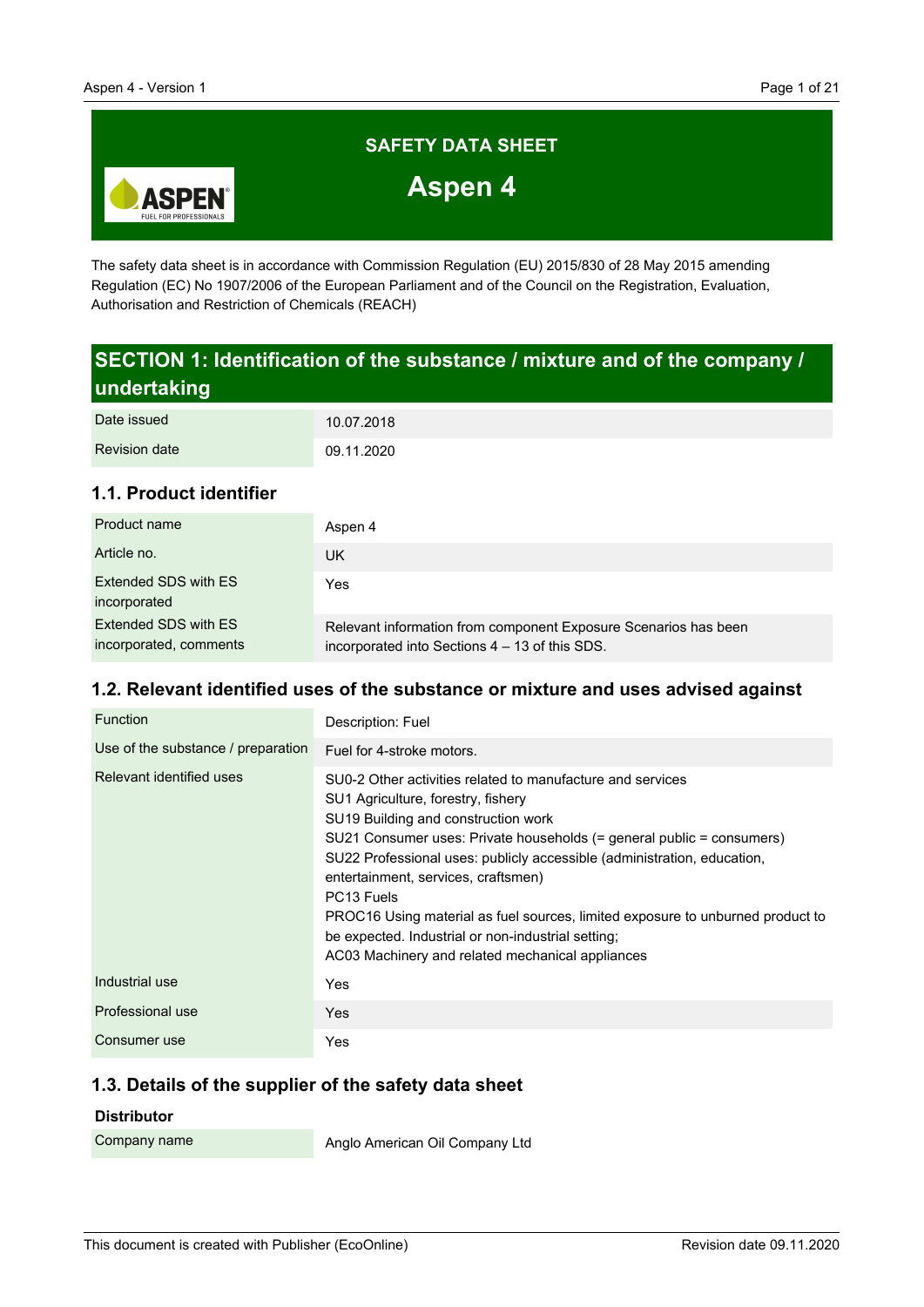

The safety data sheet is in accordance with Commission Regulation (EU) 2015/830 of 28 May 2015 amending Regulation (EC) No 1907/2006 of the European Parliament and of the Council on the Registration, Evaluation, Authorisation and Restriction of Chemicals (REACH)

# **SECTION 1: Identification of the substance / mixture and of the company / undertaking**

| Date issued          | 10.07.2018 |
|----------------------|------------|
| <b>Revision date</b> | 09.11.2020 |

## **1.1. Product identifier**

| Product name                                   | Aspen 4                                                                                                           |
|------------------------------------------------|-------------------------------------------------------------------------------------------------------------------|
| Article no.                                    | UK                                                                                                                |
| Extended SDS with ES<br>incorporated           | Yes                                                                                                               |
| Extended SDS with ES<br>incorporated, comments | Relevant information from component Exposure Scenarios has been<br>incorporated into Sections 4 – 13 of this SDS. |

## **1.2. Relevant identified uses of the substance or mixture and uses advised against**

| Function                           | Description: Fuel                                                                                                                                                                                                                                                                                                                                                                                                                                                                                                                                        |
|------------------------------------|----------------------------------------------------------------------------------------------------------------------------------------------------------------------------------------------------------------------------------------------------------------------------------------------------------------------------------------------------------------------------------------------------------------------------------------------------------------------------------------------------------------------------------------------------------|
| Use of the substance / preparation | Fuel for 4-stroke motors.                                                                                                                                                                                                                                                                                                                                                                                                                                                                                                                                |
| Relevant identified uses           | SU0-2 Other activities related to manufacture and services<br>SU1 Agriculture, forestry, fishery<br>SU19 Building and construction work<br>SU21 Consumer uses: Private households (= general public = consumers)<br>SU22 Professional uses: publicly accessible (administration, education,<br>entertainment, services, craftsmen)<br>PC <sub>13</sub> Fuels<br>PROC16 Using material as fuel sources, limited exposure to unburned product to<br>be expected. Industrial or non-industrial setting;<br>AC03 Machinery and related mechanical appliances |
| Industrial use                     | Yes                                                                                                                                                                                                                                                                                                                                                                                                                                                                                                                                                      |
| Professional use                   | <b>Yes</b>                                                                                                                                                                                                                                                                                                                                                                                                                                                                                                                                               |
| Consumer use                       | Yes                                                                                                                                                                                                                                                                                                                                                                                                                                                                                                                                                      |

### **1.3. Details of the supplier of the safety data sheet**

#### **Distributor**

Company name

Anglo American Oil Company Ltd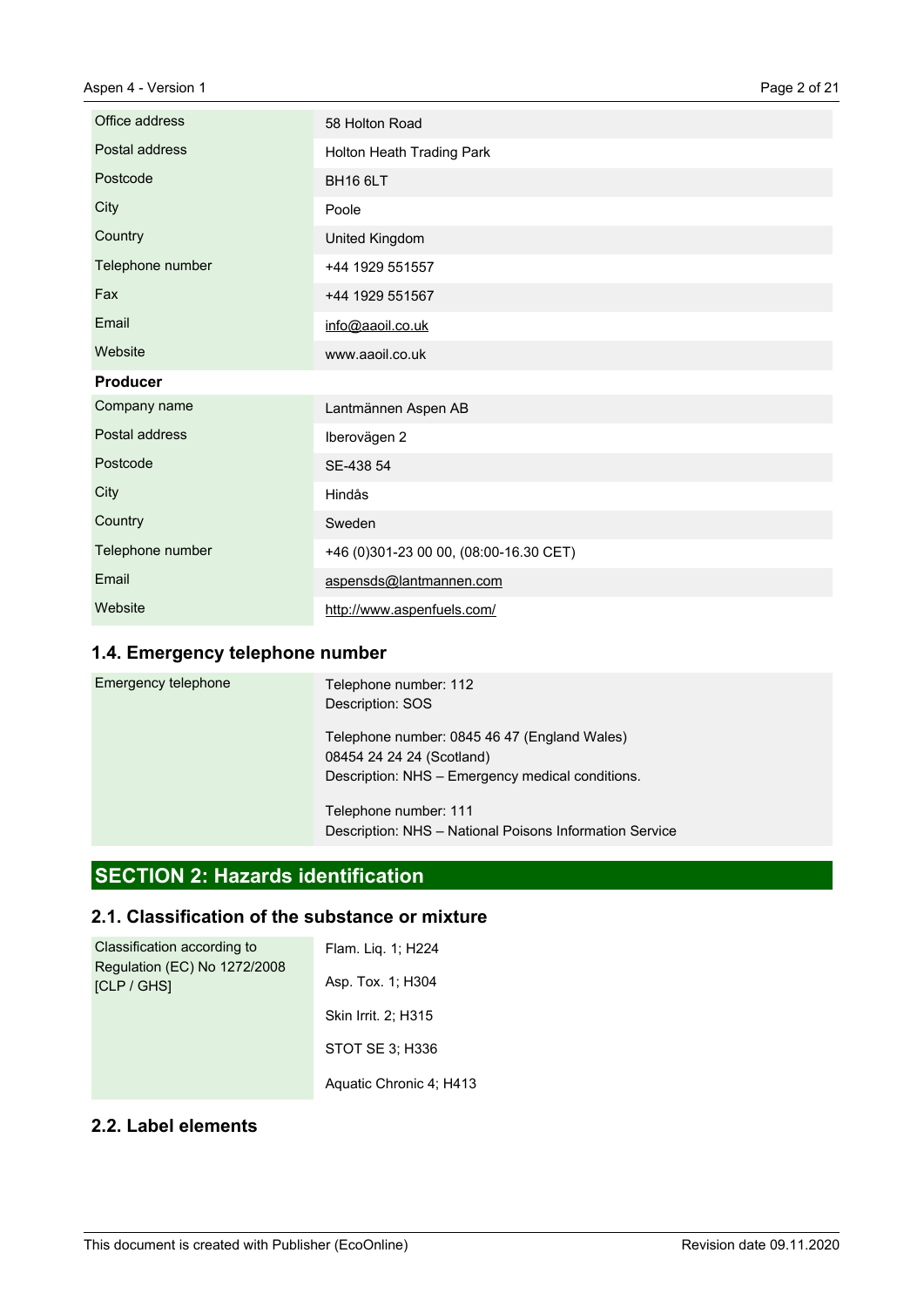| Office address   | 58 Holton Road                         |
|------------------|----------------------------------------|
| Postal address   | Holton Heath Trading Park              |
| Postcode         | <b>BH16 6LT</b>                        |
| City             | Poole                                  |
| Country          | United Kingdom                         |
| Telephone number | +44 1929 551557                        |
| Fax              | +44 1929 551567                        |
| Email            | info@aaoil.co.uk                       |
| Website          | www.aaoil.co.uk                        |
| <b>Producer</b>  |                                        |
| Company name     | Lantmännen Aspen AB                    |
| Postal address   | Iberovägen 2                           |
| Postcode         | SE-438 54                              |
| City             | Hindås                                 |
| Country          | Sweden                                 |
| Telephone number | +46 (0)301-23 00 00, (08:00-16.30 CET) |
| Email            | aspensds@lantmannen.com                |
| Website          | http://www.aspenfuels.com/             |

## **1.4. Emergency telephone number**

| Emergency telephone | Telephone number: 112<br>Description: SOS                                                                                     |
|---------------------|-------------------------------------------------------------------------------------------------------------------------------|
|                     | Telephone number: 0845 46 47 (England Wales)<br>08454 24 24 24 (Scotland)<br>Description: NHS - Emergency medical conditions. |
|                     | Telephone number: 111<br>Description: NHS - National Poisons Information Service                                              |

# **SECTION 2: Hazards identification**

# **2.1. Classification of the substance or mixture**

| Classification according to<br>Regulation (EC) No 1272/2008<br><b>ICLP / GHSI</b> | Flam. Lig. 1; H224      |
|-----------------------------------------------------------------------------------|-------------------------|
|                                                                                   | Asp. Tox. 1; H304       |
|                                                                                   | Skin Irrit. 2; H315     |
|                                                                                   | STOT SE 3: H336         |
|                                                                                   | Aquatic Chronic 4; H413 |

### **2.2. Label elements**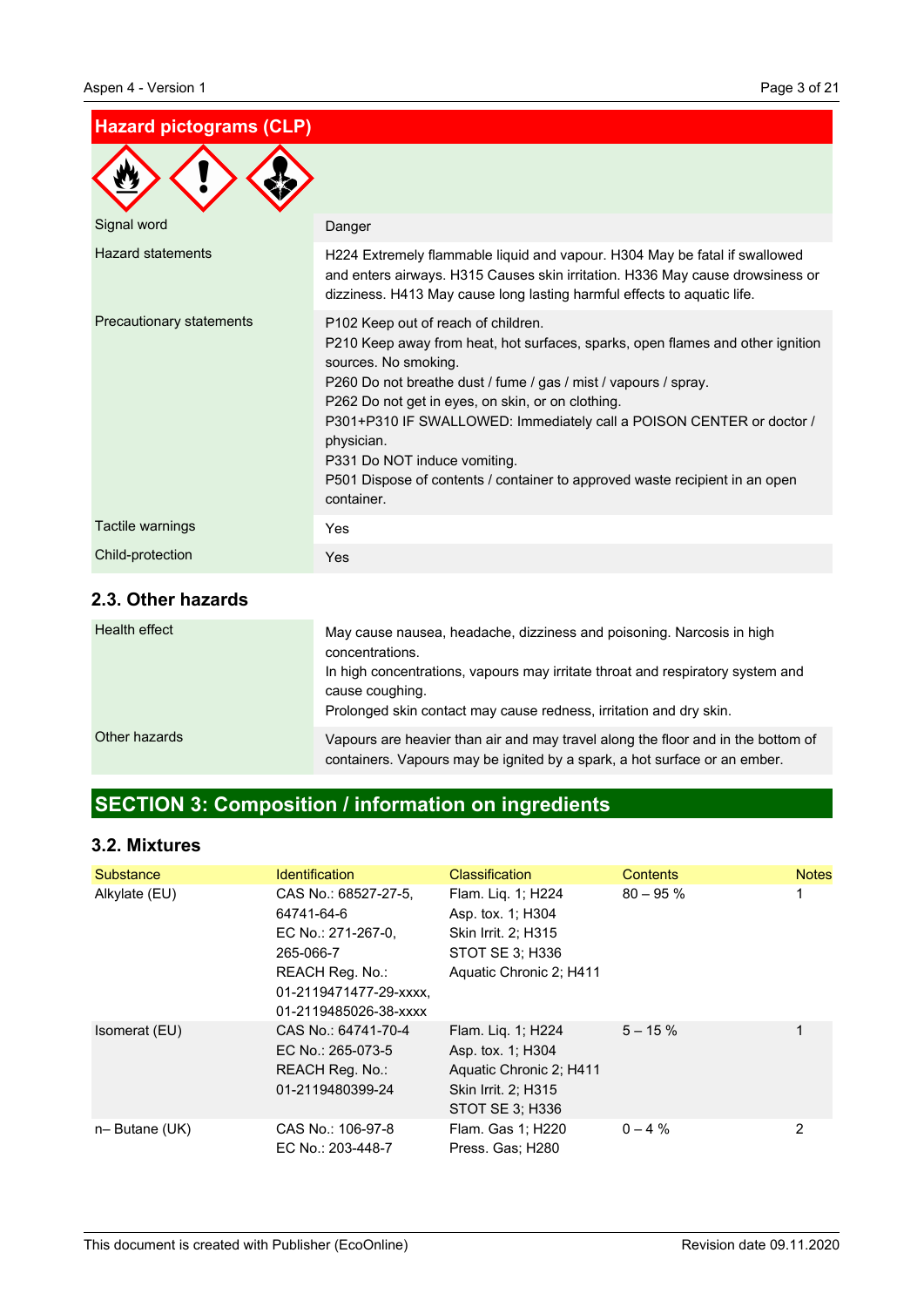### **Hazard pictograms (CLP)**

| Signal word              | Danger                                                                                                                                                                                                                                                                                                                                                                                                                                                                                   |
|--------------------------|------------------------------------------------------------------------------------------------------------------------------------------------------------------------------------------------------------------------------------------------------------------------------------------------------------------------------------------------------------------------------------------------------------------------------------------------------------------------------------------|
| <b>Hazard statements</b> | H224 Extremely flammable liquid and vapour. H304 May be fatal if swallowed<br>and enters airways. H315 Causes skin irritation. H336 May cause drowsiness or<br>dizziness. H413 May cause long lasting harmful effects to aquatic life.                                                                                                                                                                                                                                                   |
| Precautionary statements | P102 Keep out of reach of children.<br>P210 Keep away from heat, hot surfaces, sparks, open flames and other ignition<br>sources. No smoking.<br>P260 Do not breathe dust / fume / gas / mist / vapours / spray.<br>P262 Do not get in eyes, on skin, or on clothing.<br>P301+P310 IF SWALLOWED: Immediately call a POISON CENTER or doctor /<br>physician.<br>P331 Do NOT induce vomiting.<br>P501 Dispose of contents / container to approved waste recipient in an open<br>container. |
| Tactile warnings         | Yes                                                                                                                                                                                                                                                                                                                                                                                                                                                                                      |
| Child-protection         | Yes                                                                                                                                                                                                                                                                                                                                                                                                                                                                                      |

### **2.3. Other hazards**

| Health effect | May cause nausea, headache, dizziness and poisoning. Narcosis in high<br>concentrations.<br>In high concentrations, vapours may irritate throat and respiratory system and<br>cause coughing.<br>Prolonged skin contact may cause redness, irritation and dry skin. |
|---------------|---------------------------------------------------------------------------------------------------------------------------------------------------------------------------------------------------------------------------------------------------------------------|
| Other hazards | Vapours are heavier than air and may travel along the floor and in the bottom of<br>containers. Vapours may be ignited by a spark, a hot surface or an ember.                                                                                                       |

# **SECTION 3: Composition / information on ingredients**

## **3.2. Mixtures**

| Substance        | <b>Identification</b>                                                                                                                       | <b>Classification</b>                                                                                        | <b>Contents</b> | <b>Notes</b>   |
|------------------|---------------------------------------------------------------------------------------------------------------------------------------------|--------------------------------------------------------------------------------------------------------------|-----------------|----------------|
| Alkylate (EU)    | CAS No.: 68527-27-5.<br>64741-64-6<br>EC No.: 271-267-0.<br>265-066-7<br>REACH Reg. No.:<br>01-2119471477-29-xxxx.<br>01-2119485026-38-xxxx | Flam. Liq. 1; H224<br>Asp. tox. 1; H304<br>Skin Irrit. 2; H315<br>STOT SE 3: H336<br>Aquatic Chronic 2; H411 | $80 - 95%$      |                |
| Isomerat (EU)    | CAS No.: 64741-70-4<br>EC No.: 265-073-5<br>REACH Reg. No.:<br>01-2119480399-24                                                             | Flam. Lig. 1; H224<br>Asp. tox. 1; H304<br>Aquatic Chronic 2; H411<br>Skin Irrit. 2: H315<br>STOT SE 3; H336 | $5 - 15 \%$     | 1              |
| $n-$ Butane (UK) | CAS No.: 106-97-8<br>EC No.: 203-448-7                                                                                                      | Flam. Gas 1; H220<br>Press. Gas; H280                                                                        | $0 - 4 %$       | $\overline{2}$ |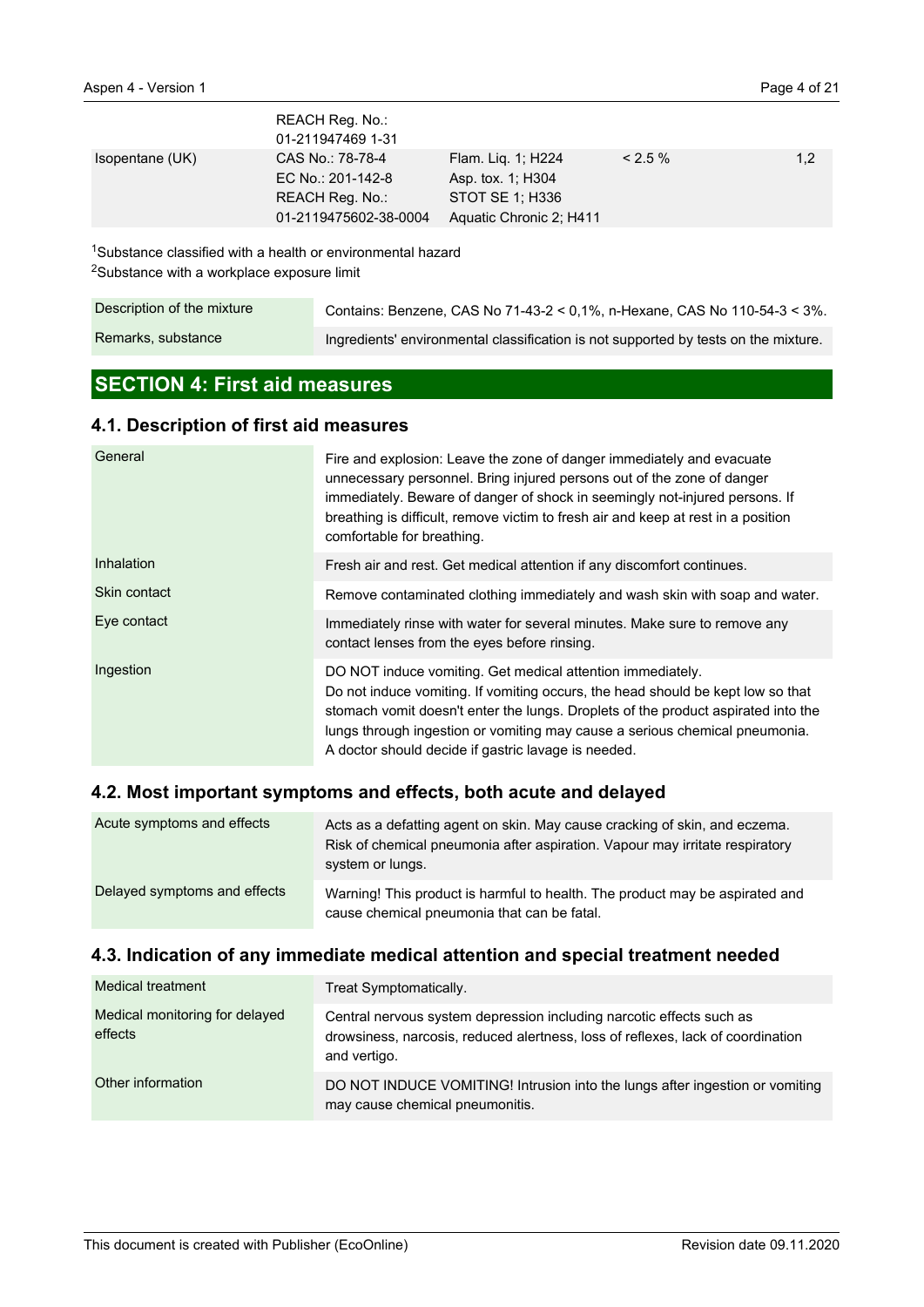|                 | REACH Reg. No.:<br>01-211947469 1-31                                              |                                                                                       |           |     |
|-----------------|-----------------------------------------------------------------------------------|---------------------------------------------------------------------------------------|-----------|-----|
| Isopentane (UK) | CAS No.: 78-78-4<br>EC No.: 201-142-8<br>REACH Reg. No.:<br>01-2119475602-38-0004 | Flam. Lig. 1; H224<br>Asp. tox. 1; H304<br>STOT SE 1: H336<br>Aquatic Chronic 2; H411 | $< 2.5\%$ | 1,2 |

<sup>1</sup>Substance classified with a health or environmental hazard <sup>2</sup>Substance with a workplace exposure limit

| Description of the mixture | Contains: Benzene, CAS No 71-43-2 < 0.1%, n-Hexane, CAS No 110-54-3 < $3\%$ .       |
|----------------------------|-------------------------------------------------------------------------------------|
| Remarks, substance         | Ingredients' environmental classification is not supported by tests on the mixture. |

# **SECTION 4: First aid measures**

## **4.1. Description of first aid measures**

| General      | Fire and explosion: Leave the zone of danger immediately and evacuate<br>unnecessary personnel. Bring injured persons out of the zone of danger<br>immediately. Beware of danger of shock in seemingly not-injured persons. If<br>breathing is difficult, remove victim to fresh air and keep at rest in a position<br>comfortable for breathing.                        |
|--------------|--------------------------------------------------------------------------------------------------------------------------------------------------------------------------------------------------------------------------------------------------------------------------------------------------------------------------------------------------------------------------|
| Inhalation   | Fresh air and rest. Get medical attention if any discomfort continues.                                                                                                                                                                                                                                                                                                   |
| Skin contact | Remove contaminated clothing immediately and wash skin with soap and water.                                                                                                                                                                                                                                                                                              |
| Eye contact  | Immediately rinse with water for several minutes. Make sure to remove any<br>contact lenses from the eyes before rinsing.                                                                                                                                                                                                                                                |
| Ingestion    | DO NOT induce vomiting. Get medical attention immediately.<br>Do not induce vomiting. If vomiting occurs, the head should be kept low so that<br>stomach vomit doesn't enter the lungs. Droplets of the product aspirated into the<br>lungs through ingestion or vomiting may cause a serious chemical pneumonia.<br>A doctor should decide if gastric lavage is needed. |

## **4.2. Most important symptoms and effects, both acute and delayed**

| Acute symptoms and effects   | Acts as a defatting agent on skin. May cause cracking of skin, and eczema.<br>Risk of chemical pneumonia after aspiration. Vapour may irritate respiratory<br>system or lungs. |
|------------------------------|--------------------------------------------------------------------------------------------------------------------------------------------------------------------------------|
| Delayed symptoms and effects | Warning! This product is harmful to health. The product may be aspirated and<br>cause chemical pneumonia that can be fatal.                                                    |

### **4.3. Indication of any immediate medical attention and special treatment needed**

| Medical treatment                         | Treat Symptomatically.                                                                                                                                                  |
|-------------------------------------------|-------------------------------------------------------------------------------------------------------------------------------------------------------------------------|
| Medical monitoring for delayed<br>effects | Central nervous system depression including narcotic effects such as<br>drowsiness, narcosis, reduced alertness, loss of reflexes, lack of coordination<br>and vertigo. |
| Other information                         | DO NOT INDUCE VOMITING! Intrusion into the lungs after ingestion or vomiting<br>may cause chemical pneumonitis.                                                         |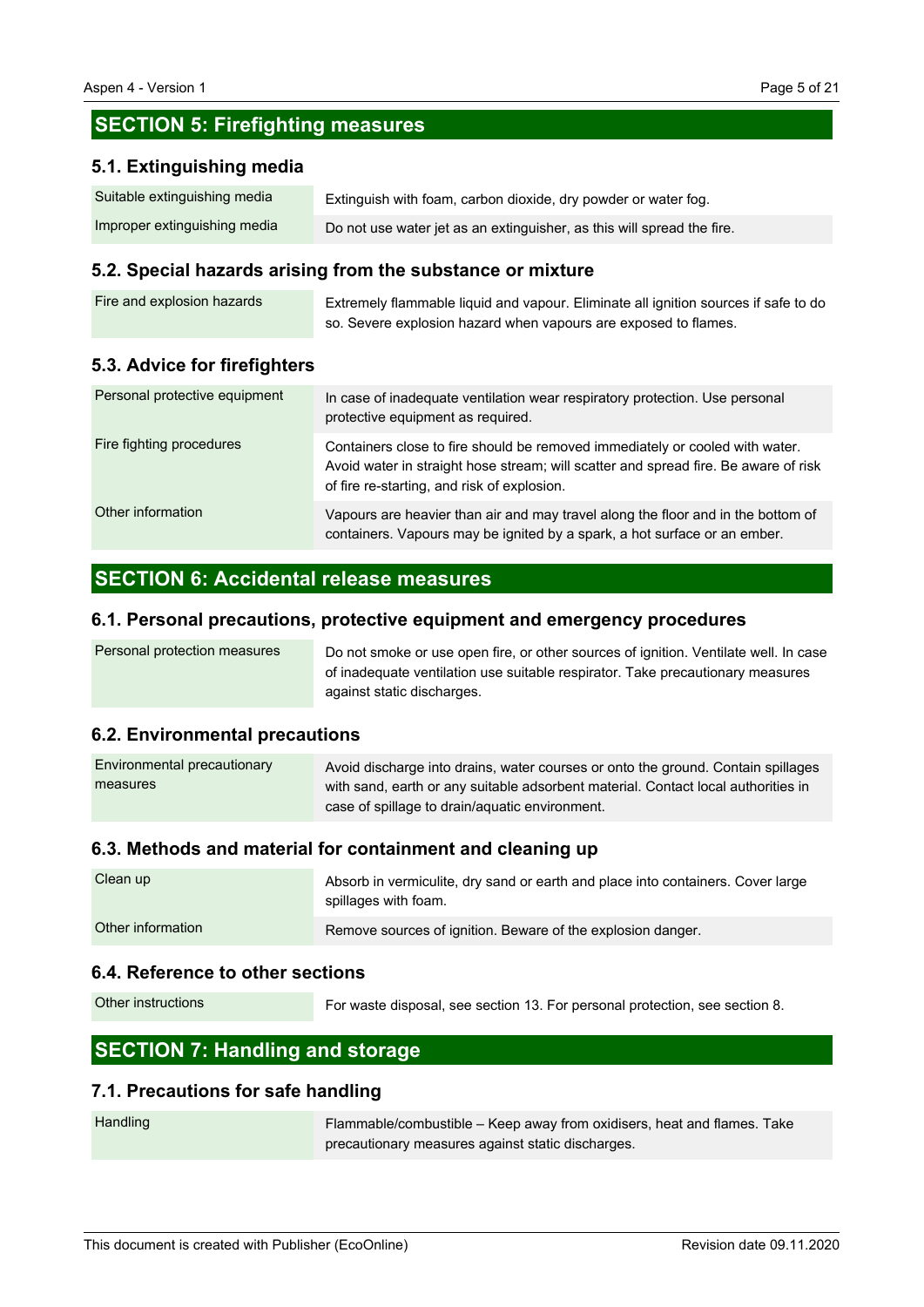# **SECTION 5: Firefighting measures**

### **5.1. Extinguishing media**

| Suitable extinguishing media | Extinguish with foam, carbon dioxide, dry powder or water fog.         |
|------------------------------|------------------------------------------------------------------------|
| Improper extinguishing media | Do not use water jet as an extinguisher, as this will spread the fire. |

### **5.2. Special hazards arising from the substance or mixture**

| Fire and explosion hazards | Extremely flammable liquid and vapour. Eliminate all ignition sources if safe to do |
|----------------------------|-------------------------------------------------------------------------------------|
|                            | so. Severe explosion hazard when vapours are exposed to flames.                     |

### **5.3. Advice for firefighters**

| Personal protective equipment | In case of inadequate ventilation wear respiratory protection. Use personal<br>protective equipment as required.                                                                                                   |
|-------------------------------|--------------------------------------------------------------------------------------------------------------------------------------------------------------------------------------------------------------------|
| Fire fighting procedures      | Containers close to fire should be removed immediately or cooled with water.<br>Avoid water in straight hose stream; will scatter and spread fire. Be aware of risk<br>of fire re-starting, and risk of explosion. |
| Other information             | Vapours are heavier than air and may travel along the floor and in the bottom of<br>containers. Vapours may be ignited by a spark, a hot surface or an ember.                                                      |

# **SECTION 6: Accidental release measures**

### **6.1. Personal precautions, protective equipment and emergency procedures**

| Personal protection measures | Do not smoke or use open fire, or other sources of ignition. Ventilate well. In case |
|------------------------------|--------------------------------------------------------------------------------------|
|                              | of inadequate ventilation use suitable respirator. Take precautionary measures       |
|                              | against static discharges.                                                           |

### **6.2. Environmental precautions**

| Environmental precautionary | Avoid discharge into drains, water courses or onto the ground. Contain spillages  |
|-----------------------------|-----------------------------------------------------------------------------------|
| measures                    | with sand, earth or any suitable adsorbent material. Contact local authorities in |
|                             | case of spillage to drain/aquatic environment.                                    |

### **6.3. Methods and material for containment and cleaning up**

| Clean up          | Absorb in vermiculite, dry sand or earth and place into containers. Cover large<br>spillages with foam. |
|-------------------|---------------------------------------------------------------------------------------------------------|
| Other information | Remove sources of ignition. Beware of the explosion danger.                                             |

### **6.4. Reference to other sections**

For waste disposal, see section 13. For personal protection, see section 8. Other instructions

# **SECTION 7: Handling and storage**

### **7.1. Precautions for safe handling**

| Handling | Flammable/combustible – Keep away from oxidisers, heat and flames. Take |
|----------|-------------------------------------------------------------------------|
|          | precautionary measures against static discharges.                       |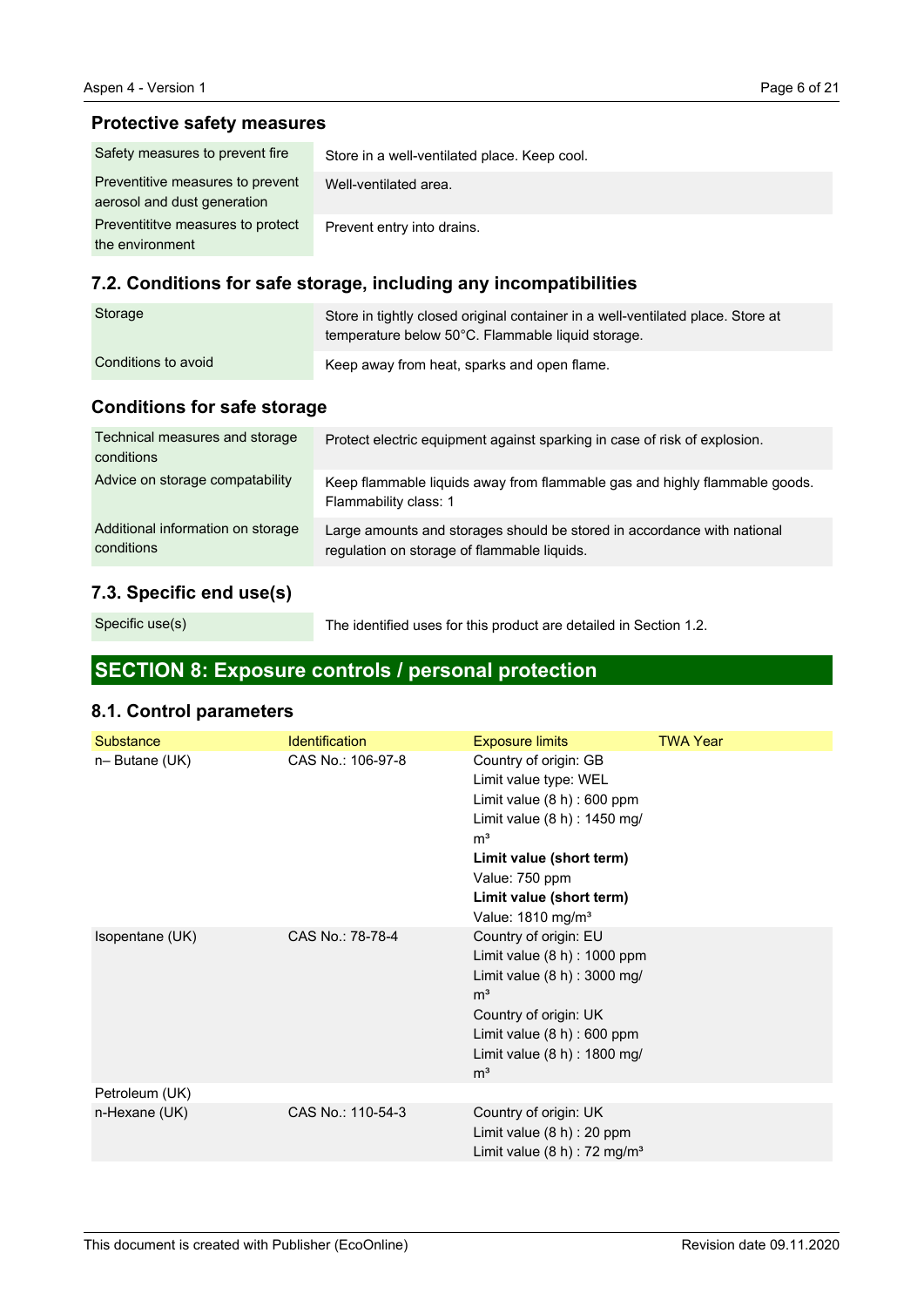### **Protective safety measures**

| Safety measures to prevent fire                                 | Store in a well-ventilated place. Keep cool. |
|-----------------------------------------------------------------|----------------------------------------------|
| Preventitive measures to prevent<br>aerosol and dust generation | Well-ventilated area.                        |
| Preventititye measures to protect<br>the environment            | Prevent entry into drains.                   |

# **7.2. Conditions for safe storage, including any incompatibilities**

| Storage             | Store in tightly closed original container in a well-ventilated place. Store at<br>temperature below 50°C. Flammable liquid storage. |
|---------------------|--------------------------------------------------------------------------------------------------------------------------------------|
| Conditions to avoid | Keep away from heat, sparks and open flame.                                                                                          |

# **Conditions for safe storage**

| Technical measures and storage<br>conditions    | Protect electric equipment against sparking in case of risk of explosion.                                              |
|-------------------------------------------------|------------------------------------------------------------------------------------------------------------------------|
| Advice on storage compatability                 | Keep flammable liquids away from flammable gas and highly flammable goods.<br>Flammability class: 1                    |
| Additional information on storage<br>conditions | Large amounts and storages should be stored in accordance with national<br>regulation on storage of flammable liquids. |

## **7.3. Specific end use(s)**

Specific use(s)

The identified uses for this product are detailed in Section 1.2.

# **SECTION 8: Exposure controls / personal protection**

## **8.1. Control parameters**

| Substance       | <b>Identification</b> | <b>Exposure limits</b>                                                                                                                                                                                                                       | <b>TWA Year</b> |
|-----------------|-----------------------|----------------------------------------------------------------------------------------------------------------------------------------------------------------------------------------------------------------------------------------------|-----------------|
| n-Butane (UK)   | CAS No.: 106-97-8     | Country of origin: GB<br>Limit value type: WEL<br>Limit value $(8 h)$ : 600 ppm<br>Limit value (8 h) : 1450 mg/<br>m <sup>3</sup><br>Limit value (short term)<br>Value: 750 ppm<br>Limit value (short term)<br>Value: 1810 mg/m <sup>3</sup> |                 |
| Isopentane (UK) | CAS No.: 78-78-4      | Country of origin: EU<br>Limit value $(8 h)$ : 1000 ppm<br>Limit value (8 h) : 3000 mg/<br>m <sup>3</sup><br>Country of origin: UK<br>Limit value $(8 h)$ : 600 ppm<br>Limit value (8 h) : 1800 mg/<br>m <sup>3</sup>                        |                 |
| Petroleum (UK)  |                       |                                                                                                                                                                                                                                              |                 |
| n-Hexane (UK)   | CAS No.: 110-54-3     | Country of origin: UK<br>Limit value $(8 h)$ : 20 ppm<br>Limit value $(8 h)$ : 72 mg/m <sup>3</sup>                                                                                                                                          |                 |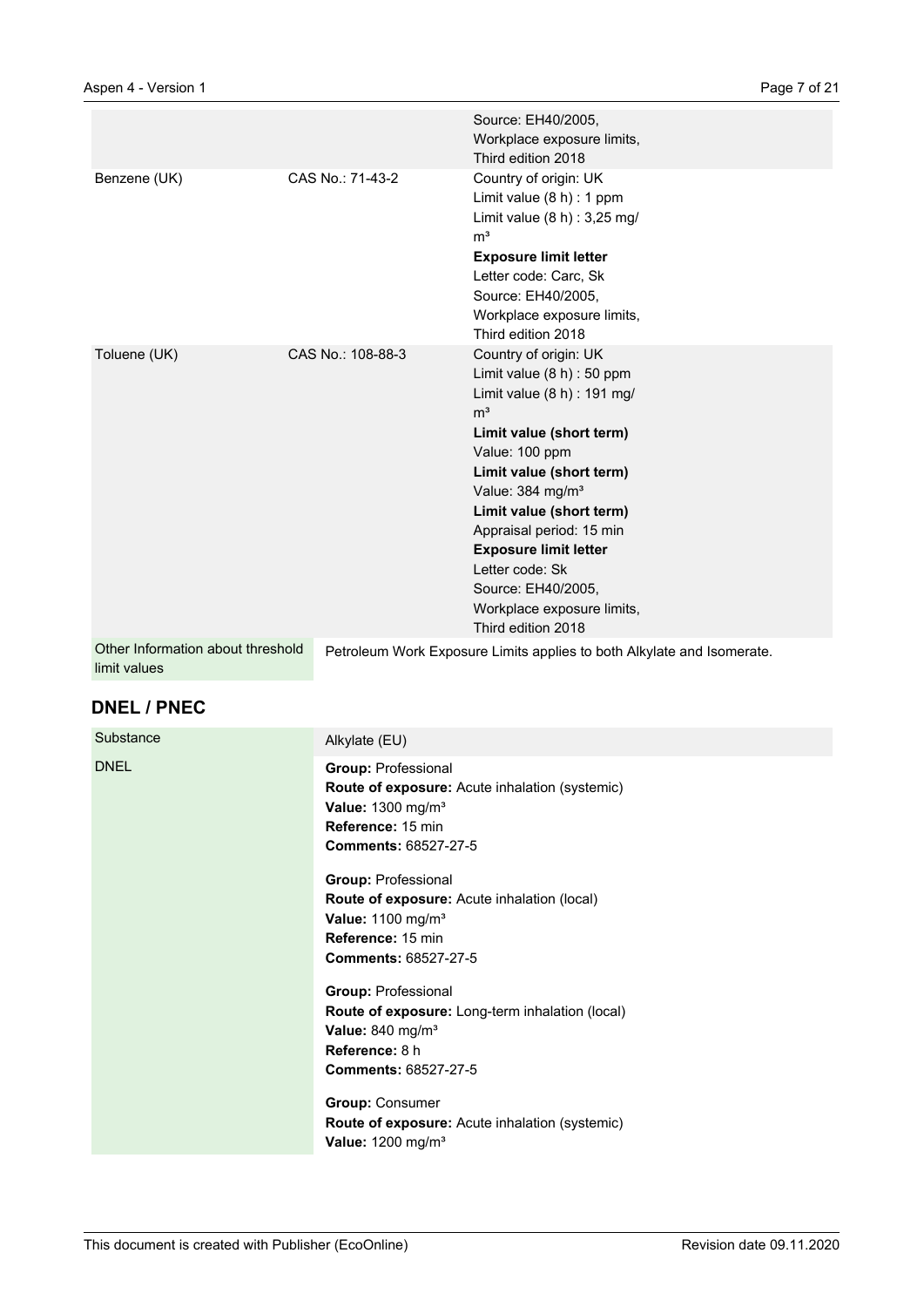|                                                   |                   | Source: EH40/2005,<br>Workplace exposure limits,<br>Third edition 2018                                                                                                                                                                                                                                                                                                                                  |
|---------------------------------------------------|-------------------|---------------------------------------------------------------------------------------------------------------------------------------------------------------------------------------------------------------------------------------------------------------------------------------------------------------------------------------------------------------------------------------------------------|
| Benzene (UK)                                      | CAS No.: 71-43-2  | Country of origin: UK<br>Limit value $(8 h) : 1 ppm$<br>Limit value $(8 h) : 3,25 mg/$<br>m <sup>3</sup><br><b>Exposure limit letter</b><br>Letter code: Carc, Sk<br>Source: EH40/2005,<br>Workplace exposure limits,<br>Third edition 2018                                                                                                                                                             |
| Toluene (UK)                                      | CAS No.: 108-88-3 | Country of origin: UK<br>Limit value $(8 h)$ : 50 ppm<br>Limit value $(8 h)$ : 191 mg/<br>m <sup>3</sup><br>Limit value (short term)<br>Value: 100 ppm<br>Limit value (short term)<br>Value: 384 mg/m <sup>3</sup><br>Limit value (short term)<br>Appraisal period: 15 min<br><b>Exposure limit letter</b><br>Letter code: Sk<br>Source: EH40/2005,<br>Workplace exposure limits,<br>Third edition 2018 |
| Other Information about threshold<br>limit values |                   | Petroleum Work Exposure Limits applies to both Alkylate and Isomerate.                                                                                                                                                                                                                                                                                                                                  |

## **DNEL / PNEC**

| Substance   | Alkylate (EU)                                                                                                                                                         |
|-------------|-----------------------------------------------------------------------------------------------------------------------------------------------------------------------|
| <b>DNEL</b> | <b>Group: Professional</b><br>Route of exposure: Acute inhalation (systemic)<br>Value: $1300$ mg/m <sup>3</sup><br>Reference: 15 min<br><b>Comments: 68527-27-5</b>   |
|             | <b>Group: Professional</b><br>Route of exposure: Acute inhalation (local)<br>Value: $1100$ mg/m <sup>3</sup><br>Reference: 15 min<br><b>Comments: 68527-27-5</b>      |
|             | <b>Group: Professional</b><br><b>Route of exposure:</b> Long-term inhalation (local)<br>Value: 840 mg/m <sup>3</sup><br>Reference: 8 h<br><b>Comments: 68527-27-5</b> |
|             | <b>Group: Consumer</b><br><b>Route of exposure:</b> Acute inhalation (systemic)<br>Value: 1200 mg/m <sup>3</sup>                                                      |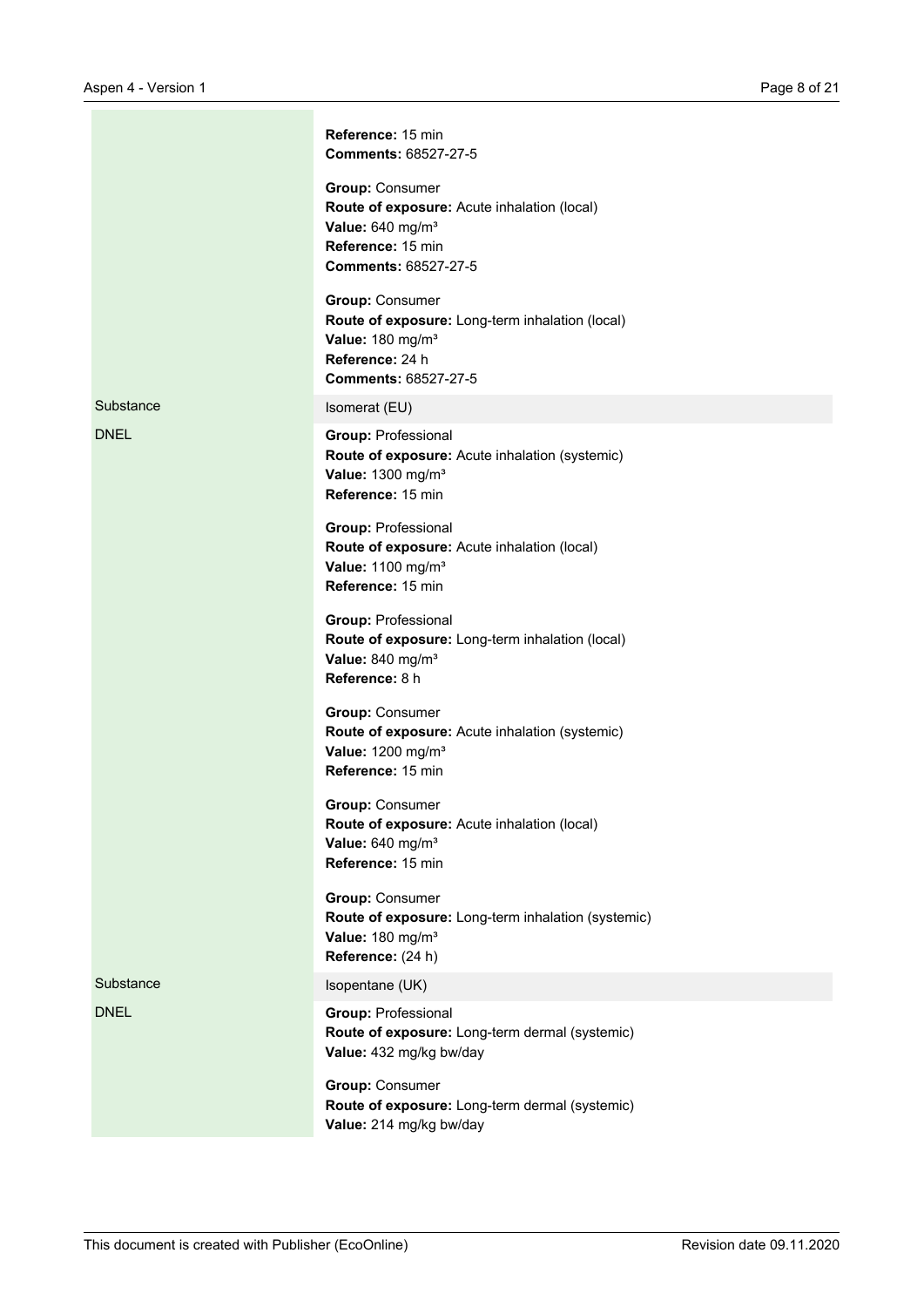|             | Reference: 15 min<br>Comments: 68527-27-5<br><b>Group: Consumer</b><br>Route of exposure: Acute inhalation (local)<br>Value: 640 mg/m <sup>3</sup><br>Reference: 15 min<br>Comments: 68527-27-5<br><b>Group: Consumer</b><br>Route of exposure: Long-term inhalation (local)<br>Value: 180 mg/m <sup>3</sup><br>Reference: 24 h<br><b>Comments: 68527-27-5</b> |
|-------------|----------------------------------------------------------------------------------------------------------------------------------------------------------------------------------------------------------------------------------------------------------------------------------------------------------------------------------------------------------------|
| Substance   | Isomerat (EU)                                                                                                                                                                                                                                                                                                                                                  |
| <b>DNEL</b> | <b>Group: Professional</b><br>Route of exposure: Acute inhalation (systemic)<br>Value: 1300 mg/m <sup>3</sup><br>Reference: 15 min                                                                                                                                                                                                                             |
|             | <b>Group: Professional</b><br>Route of exposure: Acute inhalation (local)<br>Value: 1100 mg/m <sup>3</sup><br>Reference: 15 min                                                                                                                                                                                                                                |
|             | <b>Group: Professional</b><br>Route of exposure: Long-term inhalation (local)<br>Value: 840 mg/m <sup>3</sup><br>Reference: 8 h                                                                                                                                                                                                                                |
|             | <b>Group: Consumer</b><br>Route of exposure: Acute inhalation (systemic)<br>Value: 1200 mg/m <sup>3</sup><br>Reference: 15 min                                                                                                                                                                                                                                 |
|             | <b>Group: Consumer</b><br>Route of exposure: Acute inhalation (local)<br>Value: 640 mg/m <sup>3</sup><br>Reference: 15 min                                                                                                                                                                                                                                     |
|             | <b>Group: Consumer</b><br>Route of exposure: Long-term inhalation (systemic)<br>Value: 180 mg/m <sup>3</sup><br>Reference: (24 h)                                                                                                                                                                                                                              |
| Substance   | Isopentane (UK)                                                                                                                                                                                                                                                                                                                                                |
| <b>DNEL</b> | <b>Group: Professional</b><br>Route of exposure: Long-term dermal (systemic)<br>Value: 432 mg/kg bw/day                                                                                                                                                                                                                                                        |
|             | Group: Consumer<br>Route of exposure: Long-term dermal (systemic)<br>Value: 214 mg/kg bw/day                                                                                                                                                                                                                                                                   |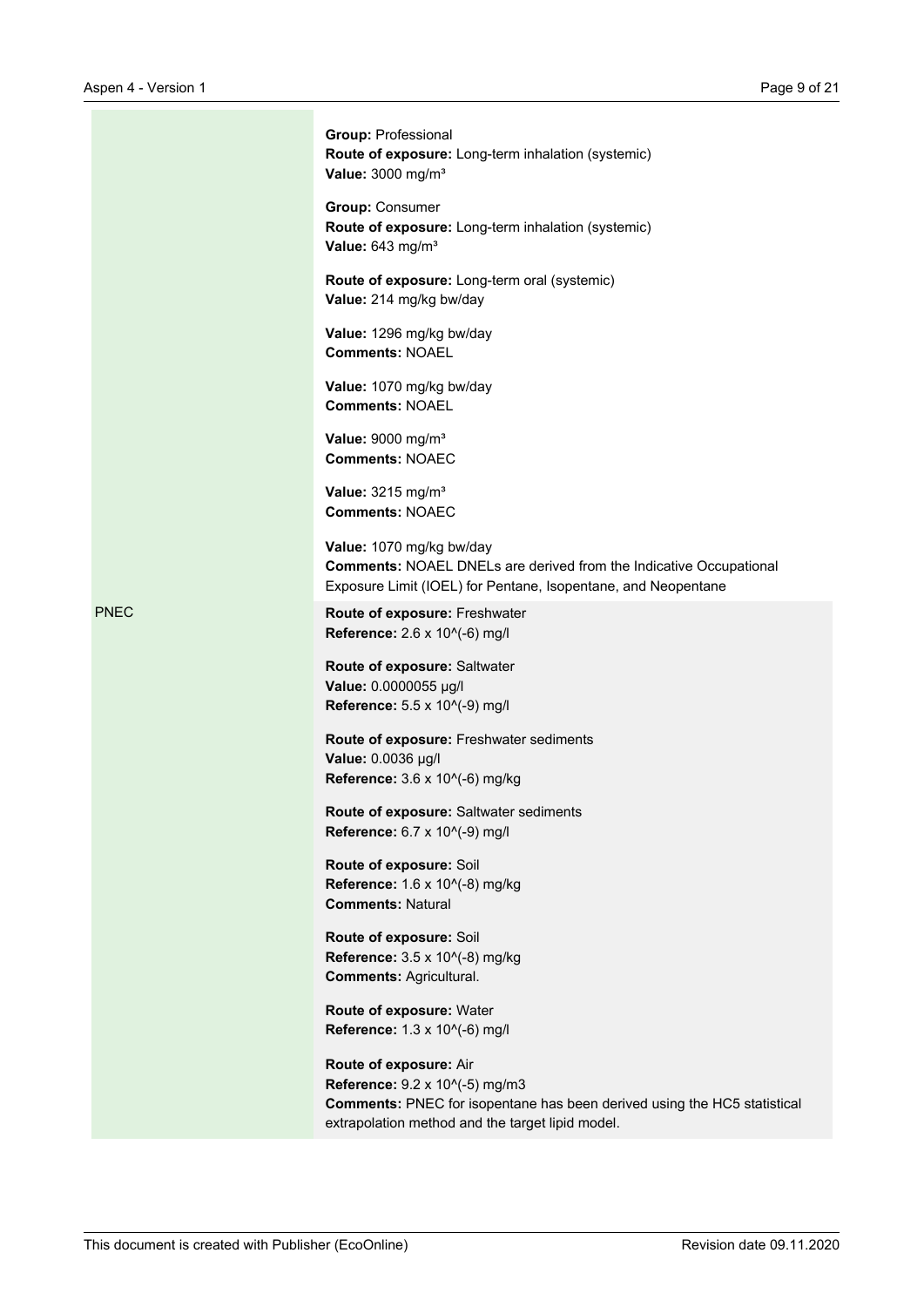|             | Group: Professional<br>Route of exposure: Long-term inhalation (systemic)<br>Value: 3000 mg/m <sup>3</sup>                                                                               |
|-------------|------------------------------------------------------------------------------------------------------------------------------------------------------------------------------------------|
|             | <b>Group: Consumer</b><br>Route of exposure: Long-term inhalation (systemic)<br>Value: 643 mg/m <sup>3</sup>                                                                             |
|             | Route of exposure: Long-term oral (systemic)<br>Value: 214 mg/kg bw/day                                                                                                                  |
|             | Value: 1296 mg/kg bw/day<br><b>Comments: NOAEL</b>                                                                                                                                       |
|             | Value: 1070 mg/kg bw/day<br><b>Comments: NOAEL</b>                                                                                                                                       |
|             | Value: 9000 mg/m <sup>3</sup><br><b>Comments: NOAEC</b>                                                                                                                                  |
|             | Value: 3215 mg/m <sup>3</sup><br><b>Comments: NOAEC</b>                                                                                                                                  |
|             | Value: 1070 mg/kg bw/day<br><b>Comments: NOAEL DNELs are derived from the Indicative Occupational</b><br>Exposure Limit (IOEL) for Pentane, Isopentane, and Neopentane                   |
| <b>PNEC</b> | Route of exposure: Freshwater<br>Reference: 2.6 x 10^(-6) mg/l                                                                                                                           |
|             | Route of exposure: Saltwater<br>Value: 0.0000055 µg/l<br>Reference: 5.5 x 10^(-9) mg/l                                                                                                   |
|             | Route of exposure: Freshwater sediments<br>Value: 0.0036 µg/l<br>Reference: 3.6 x 10^(-6) mg/kg                                                                                          |
|             | Route of exposure: Saltwater sediments<br>Reference: 6.7 x 10^(-9) mg/l                                                                                                                  |
|             | Route of exposure: Soil<br>Reference: 1.6 x 10^(-8) mg/kg<br><b>Comments: Natural</b>                                                                                                    |
|             | Route of exposure: Soil<br>Reference: 3.5 x 10^(-8) mg/kg<br><b>Comments: Agricultural.</b>                                                                                              |
|             | Route of exposure: Water<br>Reference: 1.3 x 10^(-6) mg/l                                                                                                                                |
|             | Route of exposure: Air<br>Reference: 9.2 x 10^(-5) mg/m3<br>Comments: PNEC for isopentane has been derived using the HC5 statistical<br>extrapolation method and the target lipid model. |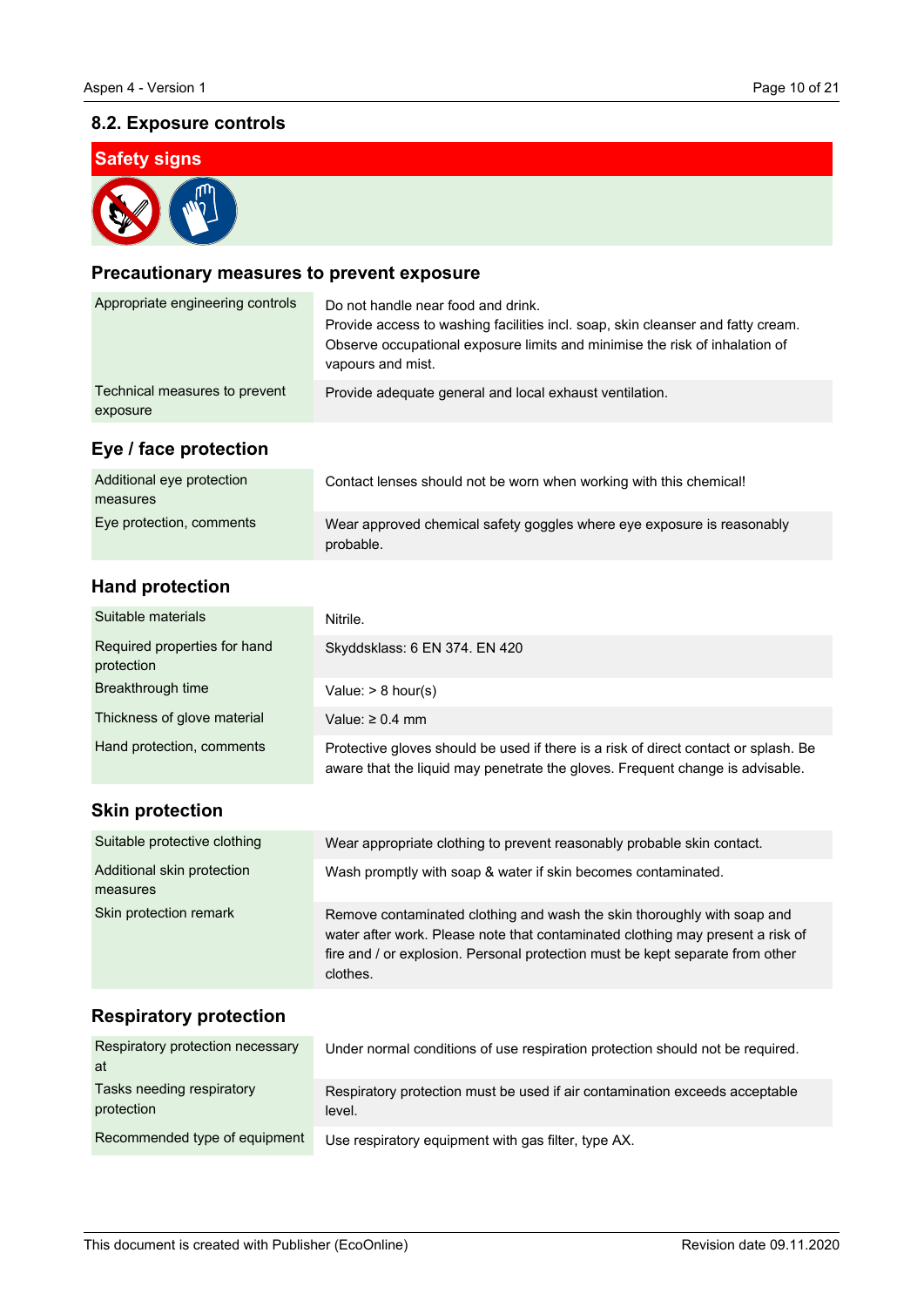## **8.2. Exposure controls**



### **Precautionary measures to prevent exposure**

| Appropriate engineering controls          | Do not handle near food and drink.<br>Provide access to washing facilities incl. soap, skin cleanser and fatty cream.<br>Observe occupational exposure limits and minimise the risk of inhalation of<br>vapours and mist. |
|-------------------------------------------|---------------------------------------------------------------------------------------------------------------------------------------------------------------------------------------------------------------------------|
| Technical measures to prevent<br>exposure | Provide adequate general and local exhaust ventilation.                                                                                                                                                                   |
| Eye / face protection                     |                                                                                                                                                                                                                           |
| Additional eye protection<br>measures     | Contact lenses should not be worn when working with this chemical!                                                                                                                                                        |
| Eye protection, comments                  | Wear approved chemical safety goggles where eye exposure is reasonably<br>probable.                                                                                                                                       |

## **Hand protection**

| Suitable materials                         | Nitrile.                                                                                                                                                             |
|--------------------------------------------|----------------------------------------------------------------------------------------------------------------------------------------------------------------------|
| Required properties for hand<br>protection | Skyddsklass: 6 EN 374. EN 420                                                                                                                                        |
| Breakthrough time                          | Value: $> 8$ hour(s)                                                                                                                                                 |
| Thickness of glove material                | Value: $\geq 0.4$ mm                                                                                                                                                 |
| Hand protection, comments                  | Protective gloves should be used if there is a risk of direct contact or splash. Be<br>aware that the liquid may penetrate the gloves. Frequent change is advisable. |
| <b>Skin protection</b>                     |                                                                                                                                                                      |
| Suitable protective clothing               | Wear appropriate clothing to prevent reasonably probable skin contact.                                                                                               |
| Additional skin protection<br>measures     | Wash promptly with soap & water if skin becomes contaminated.                                                                                                        |

Remove contaminated clothing and wash the skin thoroughly with soap and water after work. Please note that contaminated clothing may present a risk of fire and / or explosion. Personal protection must be kept separate from other clothes.

## **Respiratory protection**

Skin protection remark

| Respiratory protection necessary<br>at  | Under normal conditions of use respiration protection should not be required.         |
|-----------------------------------------|---------------------------------------------------------------------------------------|
| Tasks needing respiratory<br>protection | Respiratory protection must be used if air contamination exceeds acceptable<br>level. |
| Recommended type of equipment           | Use respiratory equipment with gas filter, type AX.                                   |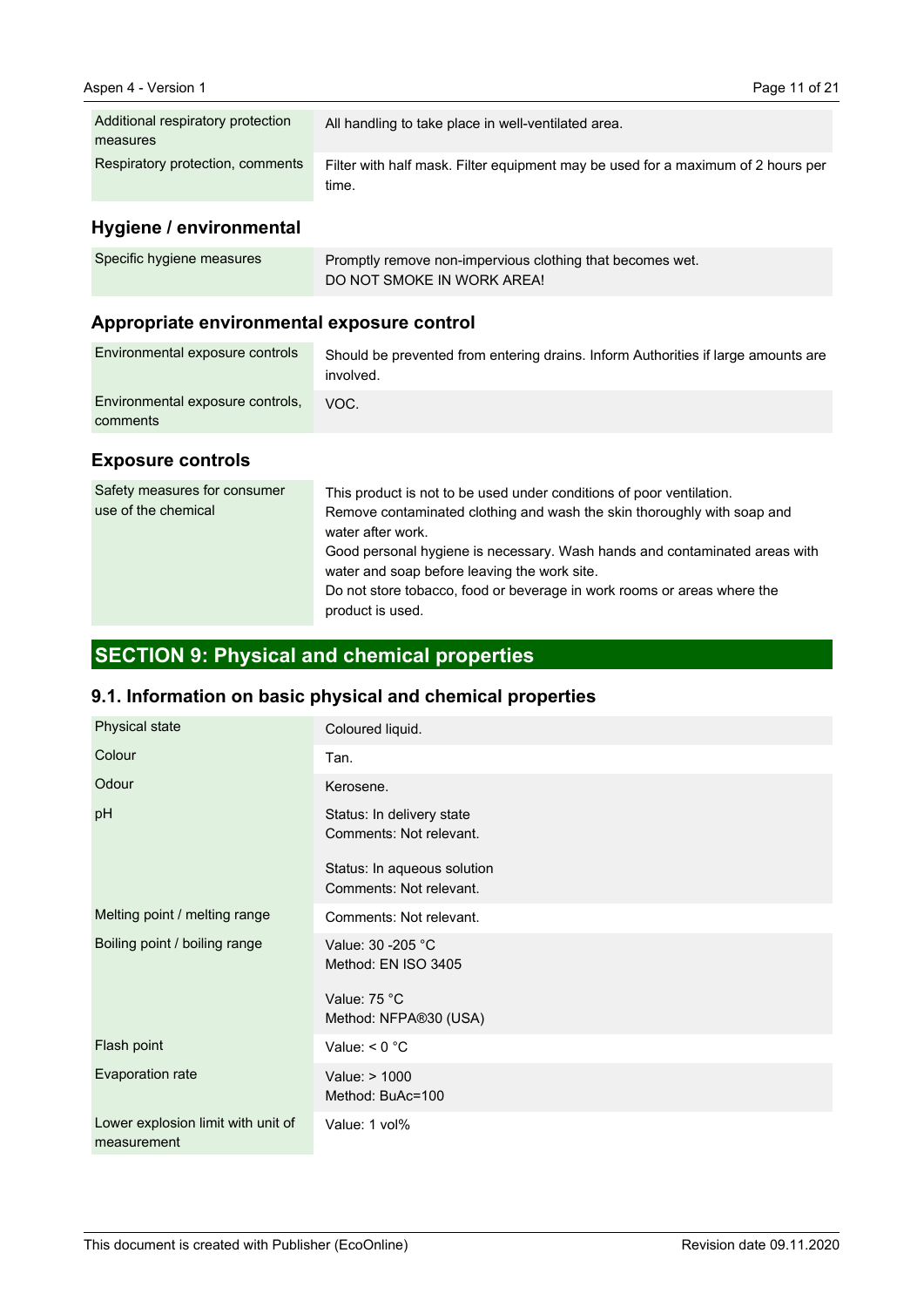| Additional respiratory protection<br>measures | All handling to take place in well-ventilated area.                                       |
|-----------------------------------------------|-------------------------------------------------------------------------------------------|
| Respiratory protection, comments              | Filter with half mask. Filter equipment may be used for a maximum of 2 hours per<br>time. |

# **Hygiene / environmental**

| Specific hygiene measures | Promptly remove non-impervious clothing that becomes wet. |
|---------------------------|-----------------------------------------------------------|
|                           | DO NOT SMOKE IN WORK AREA!                                |

# **Appropriate environmental exposure control**

| Environmental exposure controls              | Should be prevented from entering drains. Inform Authorities if large amounts are<br>involved. |
|----------------------------------------------|------------------------------------------------------------------------------------------------|
| Environmental exposure controls,<br>comments | VOC.                                                                                           |

### **Exposure controls**

| Safety measures for consumer<br>use of the chemical | This product is not to be used under conditions of poor ventilation.<br>Remove contaminated clothing and wash the skin thoroughly with soap and<br>water after work.<br>Good personal hygiene is necessary. Wash hands and contaminated areas with<br>water and soap before leaving the work site.<br>Do not store tobacco, food or beverage in work rooms or areas where the<br>product is used. |
|-----------------------------------------------------|---------------------------------------------------------------------------------------------------------------------------------------------------------------------------------------------------------------------------------------------------------------------------------------------------------------------------------------------------------------------------------------------------|
|-----------------------------------------------------|---------------------------------------------------------------------------------------------------------------------------------------------------------------------------------------------------------------------------------------------------------------------------------------------------------------------------------------------------------------------------------------------------|

# **SECTION 9: Physical and chemical properties**

# **9.1. Information on basic physical and chemical properties**

| Physical state                                    | Coloured liquid.                                       |
|---------------------------------------------------|--------------------------------------------------------|
| Colour                                            | Tan.                                                   |
| Odour                                             | Kerosene.                                              |
| pH                                                | Status: In delivery state<br>Comments: Not relevant.   |
|                                                   | Status: In aqueous solution<br>Comments: Not relevant. |
| Melting point / melting range                     | Comments: Not relevant.                                |
| Boiling point / boiling range                     | Value: 30 - 205 °C<br>Method: EN ISO 3405              |
|                                                   | Value: 75 °C<br>Method: NFPA®30 (USA)                  |
| Flash point                                       | Value: $< 0$ °C                                        |
| Evaporation rate                                  | Value: > 1000<br>Method: BuAc=100                      |
| Lower explosion limit with unit of<br>measurement | Value: 1 vol%                                          |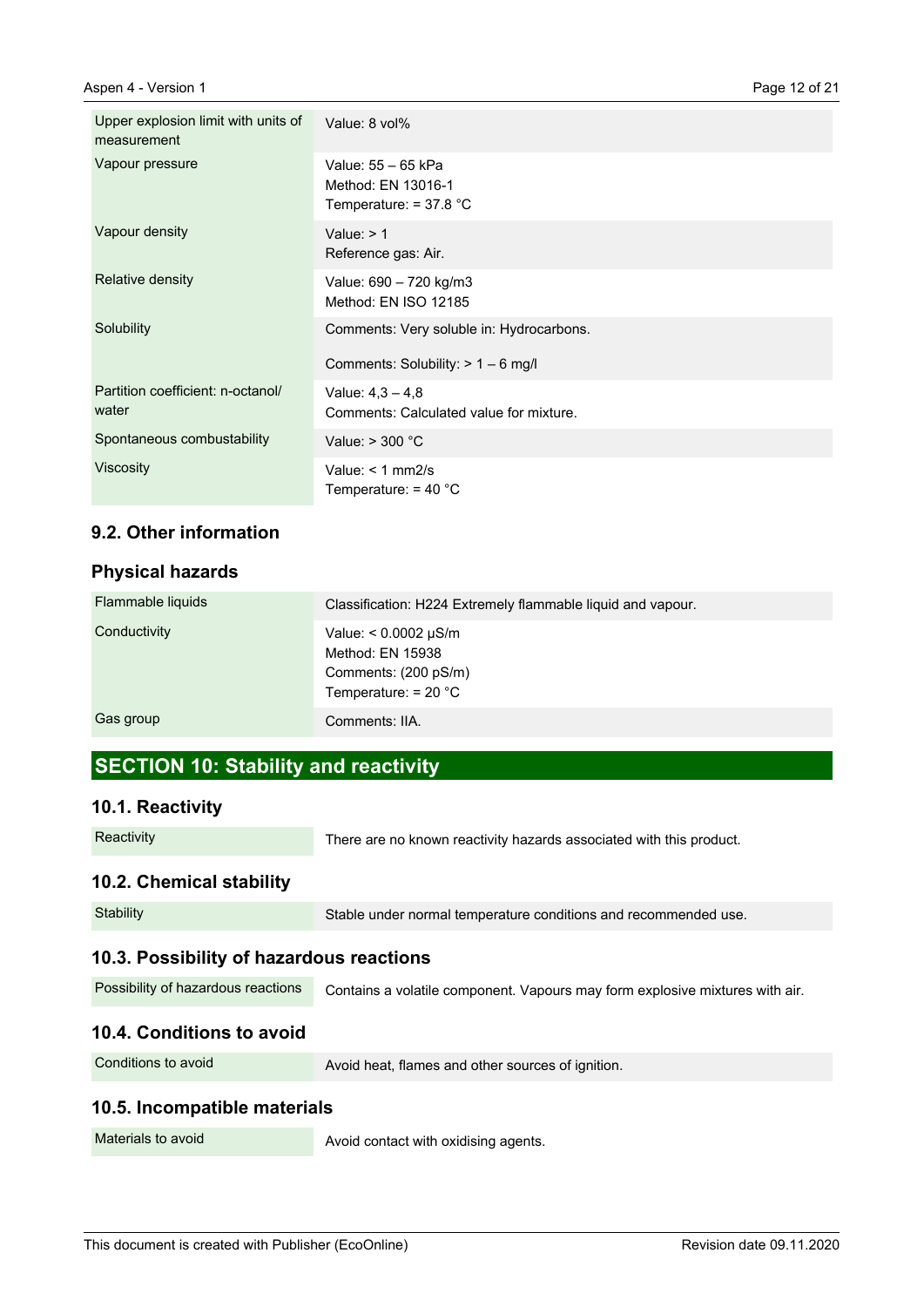| Upper explosion limit with units of<br>measurement | Value: 8 vol%                                                                    |
|----------------------------------------------------|----------------------------------------------------------------------------------|
| Vapour pressure                                    | Value: 55 - 65 kPa<br>Method: EN 13016-1<br>Temperature: $= 37.8 °C$             |
| Vapour density                                     | Value: $> 1$<br>Reference gas: Air.                                              |
| Relative density                                   | Value: 690 - 720 kg/m3<br>Method: EN ISO 12185                                   |
| Solubility                                         | Comments: Very soluble in: Hydrocarbons.<br>Comments: Solubility: $> 1 - 6$ mg/l |
| Partition coefficient: n-octanol/                  | Value: $4.3 - 4.8$                                                               |
| water                                              | Comments: Calculated value for mixture.                                          |
| Spontaneous combustability                         | Value: $>$ 300 $^{\circ}$ C                                                      |
| <b>Viscosity</b>                                   | Value: $<$ 1 mm2/s<br>Temperature: $=$ 40 $^{\circ}$ C                           |

## **9.2. Other information**

#### **Physical hazards**

| Flammable liquids | Classification: H224 Extremely flammable liquid and vapour.                                     |
|-------------------|-------------------------------------------------------------------------------------------------|
| Conductivity      | Value: $< 0.0002 \mu S/m$<br>Method: EN 15938<br>Comments: (200 pS/m)<br>Temperature: $= 20 °C$ |
| Gas group         | Comments: IIA.                                                                                  |

# **SECTION 10: Stability and reactivity**

### **10.1. Reactivity**

| Reactivity |
|------------|
|------------|

There are no known reactivity hazards associated with this product.

### **10.2. Chemical stability**

| Stability                                | Stable under normal temperature conditions and recommended use.              |
|------------------------------------------|------------------------------------------------------------------------------|
| 10.3. Possibility of hazardous reactions |                                                                              |
| Possibility of hazardous reactions       | Contains a volatile component. Vapours may form explosive mixtures with air. |
|                                          |                                                                              |

# **10.4. Conditions to avoid**

| Conditions to avoid |  |
|---------------------|--|
|---------------------|--|

Avoid heat, flames and other sources of ignition.

### **10.5. Incompatible materials**

Materials to avoid

Avoid contact with oxidising agents.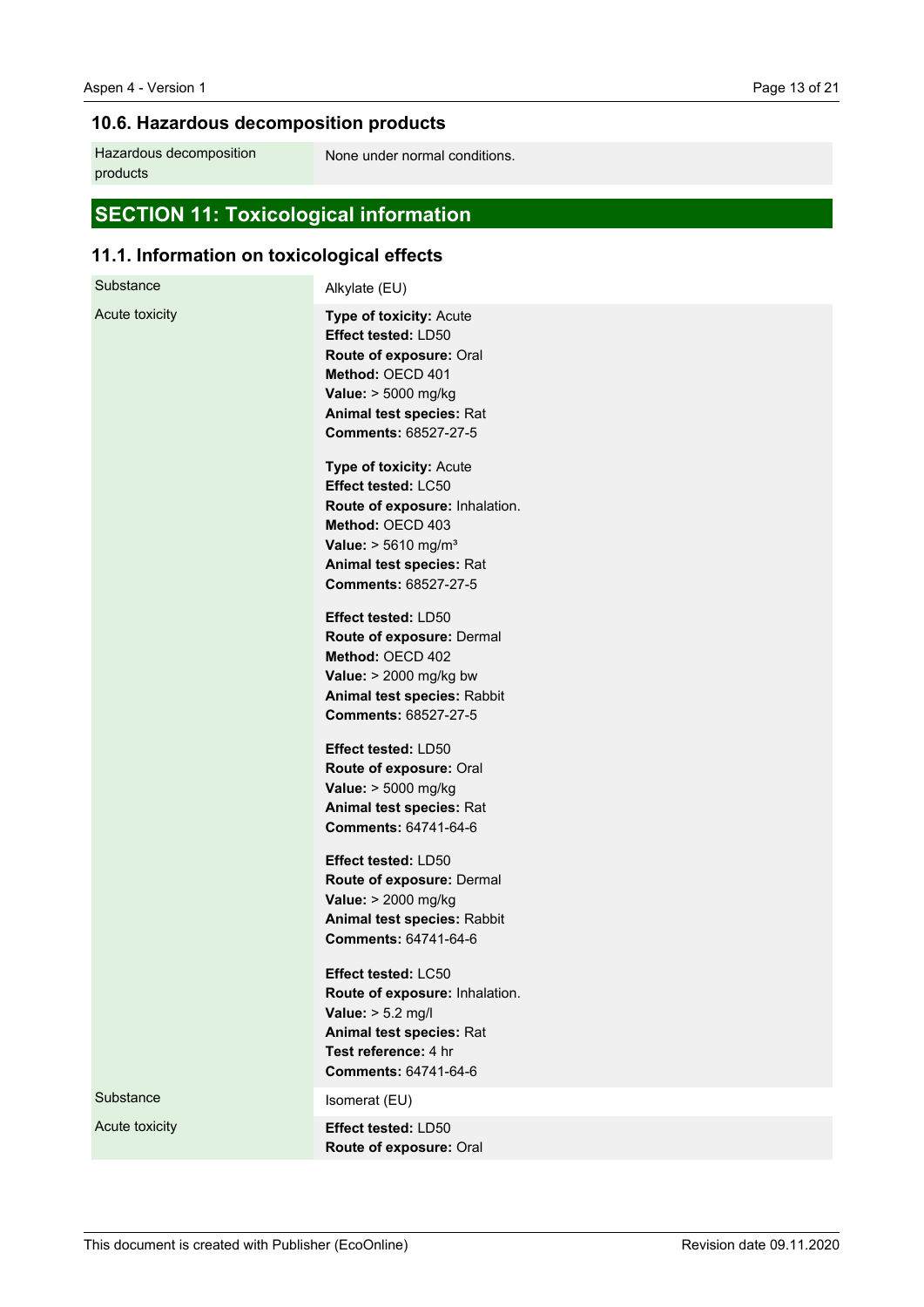# **10.6. Hazardous decomposition products**

Hazardous decomposition products

None under normal conditions.

# **SECTION 11: Toxicological information**

# **11.1. Information on toxicological effects**

| Substance      | Alkylate (EU)                                                                                                                                                                                                                                                                                                                                                                           |
|----------------|-----------------------------------------------------------------------------------------------------------------------------------------------------------------------------------------------------------------------------------------------------------------------------------------------------------------------------------------------------------------------------------------|
| Acute toxicity | Type of toxicity: Acute<br><b>Effect tested: LD50</b><br>Route of exposure: Oral<br>Method: OECD 401<br>Value: > 5000 mg/kg<br>Animal test species: Rat<br>Comments: 68527-27-5<br>Type of toxicity: Acute<br>Effect tested: LC50<br>Route of exposure: Inhalation.<br>Method: OECD 403<br><b>Value:</b> $> 5610$ mg/m <sup>3</sup><br>Animal test species: Rat<br>Comments: 68527-27-5 |
|                | Effect tested: LD50<br>Route of exposure: Dermal<br>Method: OECD 402<br>Value: $> 2000$ mg/kg bw<br>Animal test species: Rabbit<br>Comments: 68527-27-5<br>Effect tested: LD50                                                                                                                                                                                                          |
|                | Route of exposure: Oral<br>Value: > 5000 mg/kg<br>Animal test species: Rat<br><b>Comments: 64741-64-6</b>                                                                                                                                                                                                                                                                               |
|                | Effect tested: LD50<br>Route of exposure: Dermal<br>Value: > 2000 mg/kg<br>Animal test species: Rabbit<br><b>Comments: 64741-64-6</b>                                                                                                                                                                                                                                                   |
|                | Effect tested: LC50<br>Route of exposure: Inhalation.<br>Value: $> 5.2$ mg/l<br>Animal test species: Rat<br>Test reference: 4 hr<br><b>Comments: 64741-64-6</b>                                                                                                                                                                                                                         |
| Substance      | Isomerat (EU)                                                                                                                                                                                                                                                                                                                                                                           |
| Acute toxicity | Effect tested: LD50<br>Route of exposure: Oral                                                                                                                                                                                                                                                                                                                                          |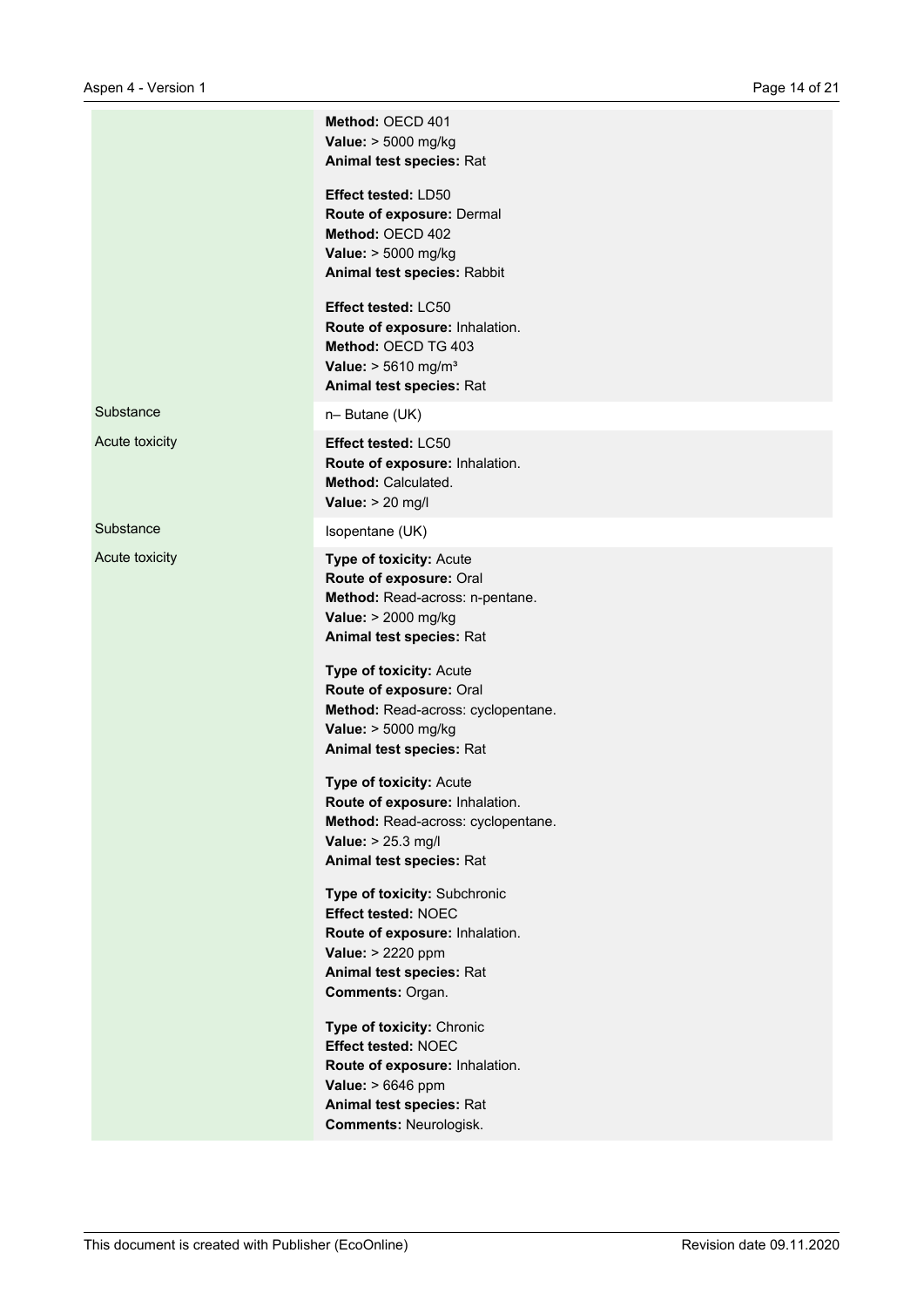|                | Method: OECD 401<br>Value: > 5000 mg/kg<br>Animal test species: Rat                                                                                                         |
|----------------|-----------------------------------------------------------------------------------------------------------------------------------------------------------------------------|
|                | Effect tested: LD50<br>Route of exposure: Dermal<br>Method: OECD 402<br>Value: > 5000 mg/kg<br>Animal test species: Rabbit                                                  |
|                | Effect tested: LC50<br>Route of exposure: Inhalation.<br>Method: OECD TG 403<br>Value: $> 5610$ mg/m <sup>3</sup><br>Animal test species: Rat                               |
| Substance      | n-Butane (UK)                                                                                                                                                               |
| Acute toxicity | Effect tested: LC50<br>Route of exposure: Inhalation.<br>Method: Calculated.<br>Value: $> 20$ mg/l                                                                          |
| Substance      | Isopentane (UK)                                                                                                                                                             |
| Acute toxicity | <b>Type of toxicity: Acute</b><br>Route of exposure: Oral<br>Method: Read-across: n-pentane.<br>Value: > 2000 mg/kg<br>Animal test species: Rat                             |
|                | Type of toxicity: Acute<br>Route of exposure: Oral<br>Method: Read-across: cyclopentane.<br>Value: > 5000 mg/kg<br>Animal test species: Rat                                 |
|                | Type of toxicity: Acute<br>Route of exposure: Inhalation.<br>Method: Read-across: cyclopentane.<br>Value: > 25.3 mg/l<br>Animal test species: Rat                           |
|                | Type of toxicity: Subchronic<br><b>Effect tested: NOEC</b><br>Route of exposure: Inhalation.<br>Value: > 2220 ppm<br>Animal test species: Rat<br>Comments: Organ.           |
|                | Type of toxicity: Chronic<br><b>Effect tested: NOEC</b><br>Route of exposure: Inhalation.<br>Value: > 6646 ppm<br>Animal test species: Rat<br><b>Comments: Neurologisk.</b> |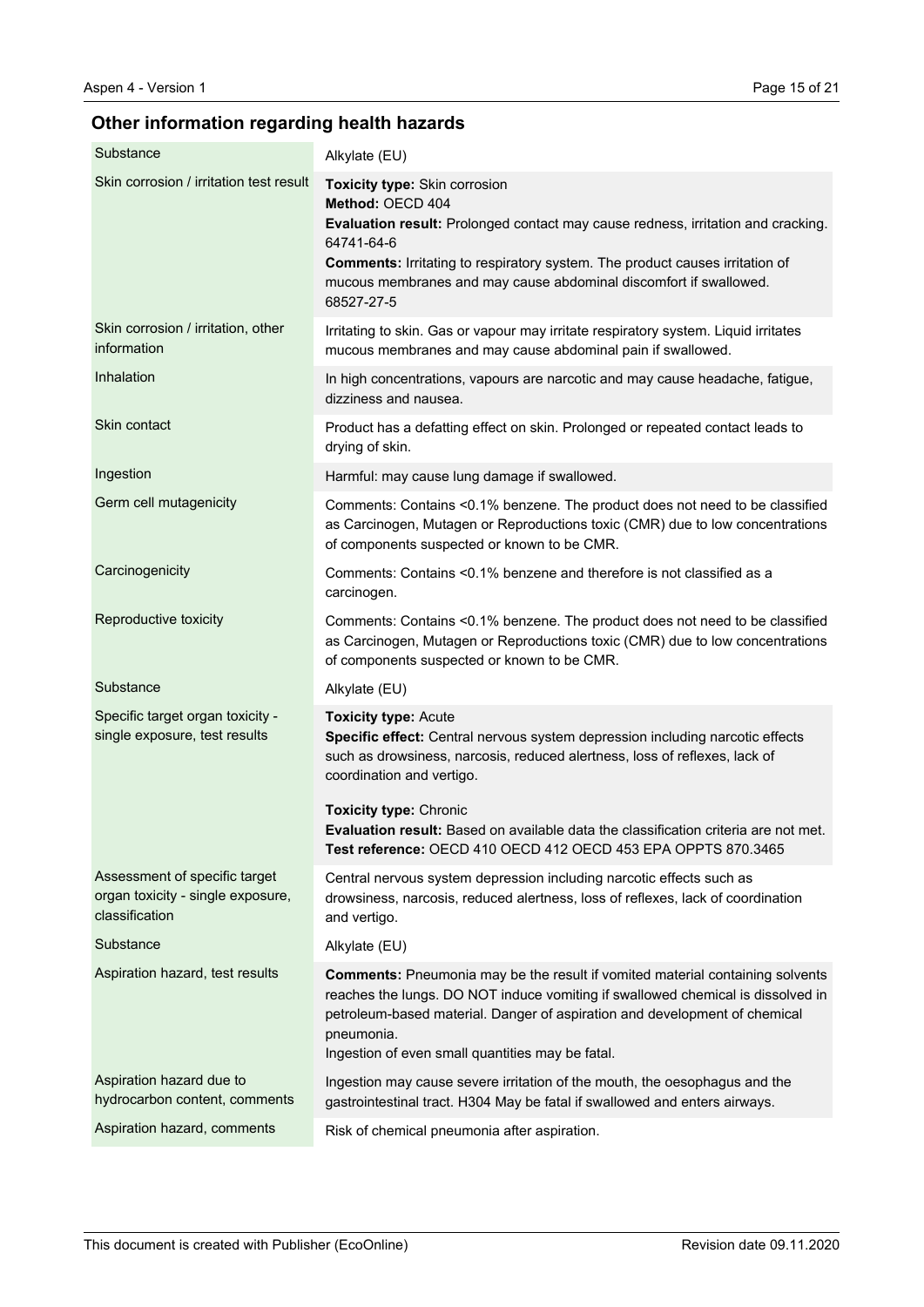# **Other information regarding health hazards**

| Substance                                                                            | Alkylate (EU)                                                                                                                                                                                                                                                                                                                 |
|--------------------------------------------------------------------------------------|-------------------------------------------------------------------------------------------------------------------------------------------------------------------------------------------------------------------------------------------------------------------------------------------------------------------------------|
| Skin corrosion / irritation test result                                              | Toxicity type: Skin corrosion<br>Method: OECD 404<br>Evaluation result: Prolonged contact may cause redness, irritation and cracking.<br>64741-64-6<br><b>Comments:</b> Irritating to respiratory system. The product causes irritation of<br>mucous membranes and may cause abdominal discomfort if swallowed.<br>68527-27-5 |
| Skin corrosion / irritation, other<br>information                                    | Irritating to skin. Gas or vapour may irritate respiratory system. Liquid irritates<br>mucous membranes and may cause abdominal pain if swallowed.                                                                                                                                                                            |
| Inhalation                                                                           | In high concentrations, vapours are narcotic and may cause headache, fatigue,<br>dizziness and nausea.                                                                                                                                                                                                                        |
| Skin contact                                                                         | Product has a defatting effect on skin. Prolonged or repeated contact leads to<br>drying of skin.                                                                                                                                                                                                                             |
| Ingestion                                                                            | Harmful: may cause lung damage if swallowed.                                                                                                                                                                                                                                                                                  |
| Germ cell mutagenicity                                                               | Comments: Contains <0.1% benzene. The product does not need to be classified<br>as Carcinogen, Mutagen or Reproductions toxic (CMR) due to low concentrations<br>of components suspected or known to be CMR.                                                                                                                  |
| Carcinogenicity                                                                      | Comments: Contains <0.1% benzene and therefore is not classified as a<br>carcinogen.                                                                                                                                                                                                                                          |
| Reproductive toxicity                                                                | Comments: Contains <0.1% benzene. The product does not need to be classified<br>as Carcinogen, Mutagen or Reproductions toxic (CMR) due to low concentrations<br>of components suspected or known to be CMR.                                                                                                                  |
| Substance                                                                            | Alkylate (EU)                                                                                                                                                                                                                                                                                                                 |
| Specific target organ toxicity -<br>single exposure, test results                    | <b>Toxicity type: Acute</b><br>Specific effect: Central nervous system depression including narcotic effects<br>such as drowsiness, narcosis, reduced alertness, loss of reflexes, lack of<br>coordination and vertigo.                                                                                                       |
|                                                                                      | <b>Toxicity type: Chronic</b><br><b>Evaluation result:</b> Based on available data the classification criteria are not met.<br>Test reference: OECD 410 OECD 412 OECD 453 EPA OPPTS 870.3465                                                                                                                                  |
| Assessment of specific target<br>organ toxicity - single exposure,<br>classification | Central nervous system depression including narcotic effects such as<br>drowsiness, narcosis, reduced alertness, loss of reflexes, lack of coordination<br>and vertigo.                                                                                                                                                       |
| Substance                                                                            | Alkylate (EU)                                                                                                                                                                                                                                                                                                                 |
| Aspiration hazard, test results                                                      | <b>Comments:</b> Pneumonia may be the result if vomited material containing solvents<br>reaches the lungs. DO NOT induce vomiting if swallowed chemical is dissolved in<br>petroleum-based material. Danger of aspiration and development of chemical<br>pneumonia.<br>Ingestion of even small quantities may be fatal.       |
| Aspiration hazard due to<br>hydrocarbon content, comments                            | Ingestion may cause severe irritation of the mouth, the oesophagus and the<br>gastrointestinal tract. H304 May be fatal if swallowed and enters airways.                                                                                                                                                                      |
| Aspiration hazard, comments                                                          | Risk of chemical pneumonia after aspiration.                                                                                                                                                                                                                                                                                  |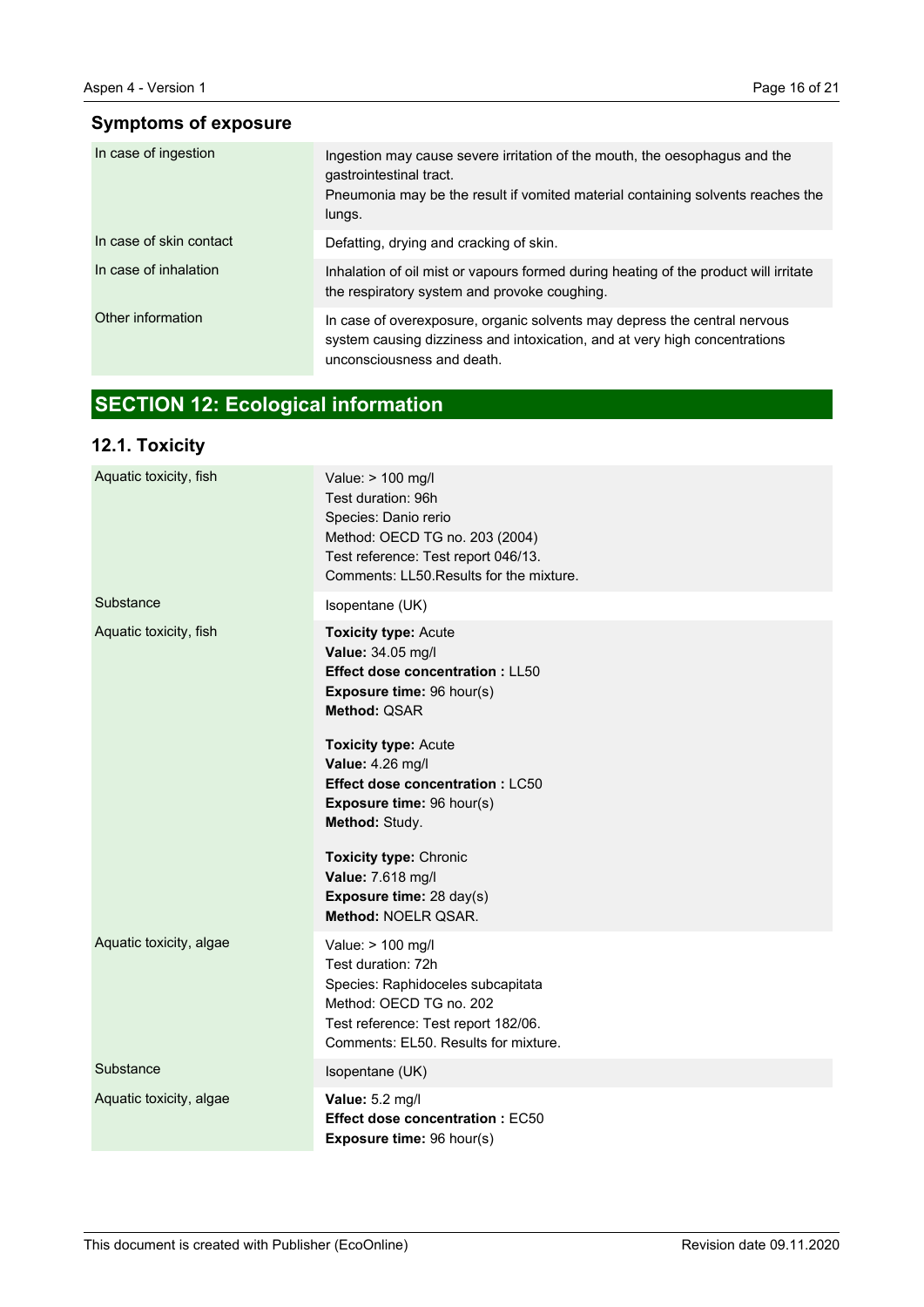# **Symptoms of exposure**

| In case of ingestion    | Ingestion may cause severe irritation of the mouth, the oesophagus and the<br>gastrointestinal tract.<br>Pneumonia may be the result if vomited material containing solvents reaches the<br>lungs. |
|-------------------------|----------------------------------------------------------------------------------------------------------------------------------------------------------------------------------------------------|
| In case of skin contact | Defatting, drying and cracking of skin.                                                                                                                                                            |
| In case of inhalation   | Inhalation of oil mist or vapours formed during heating of the product will irritate<br>the respiratory system and provoke coughing.                                                               |
| Other information       | In case of overexposure, organic solvents may depress the central nervous<br>system causing dizziness and intoxication, and at very high concentrations<br>unconsciousness and death.              |

# **SECTION 12: Ecological information**

# **12.1. Toxicity**

| Aquatic toxicity, fish  | Value: > 100 mg/l<br>Test duration: 96h<br>Species: Danio rerio<br>Method: OECD TG no. 203 (2004)<br>Test reference: Test report 046/13.<br>Comments: LL50. Results for the mixture.                                                                                                                                                                                  |
|-------------------------|-----------------------------------------------------------------------------------------------------------------------------------------------------------------------------------------------------------------------------------------------------------------------------------------------------------------------------------------------------------------------|
| Substance               | Isopentane (UK)                                                                                                                                                                                                                                                                                                                                                       |
| Aquatic toxicity, fish  | <b>Toxicity type: Acute</b><br>Value: 34.05 mg/l<br><b>Effect dose concentration: LL50</b><br>Exposure time: 96 hour(s)<br>Method: QSAR<br><b>Toxicity type: Acute</b><br>Value: 4.26 mg/l<br><b>Effect dose concentration: LC50</b><br>Exposure time: 96 hour(s)<br>Method: Study.<br><b>Toxicity type: Chronic</b><br>Value: 7.618 mg/l<br>Exposure time: 28 day(s) |
|                         | Method: NOELR QSAR.                                                                                                                                                                                                                                                                                                                                                   |
| Aquatic toxicity, algae | Value: > 100 mg/l<br>Test duration: 72h<br>Species: Raphidoceles subcapitata<br>Method: OECD TG no. 202<br>Test reference: Test report 182/06.<br>Comments: EL50. Results for mixture.                                                                                                                                                                                |
| Substance               | Isopentane (UK)                                                                                                                                                                                                                                                                                                                                                       |
| Aquatic toxicity, algae | Value: 5.2 mg/l<br>Effect dose concentration : EC50<br>Exposure time: 96 hour(s)                                                                                                                                                                                                                                                                                      |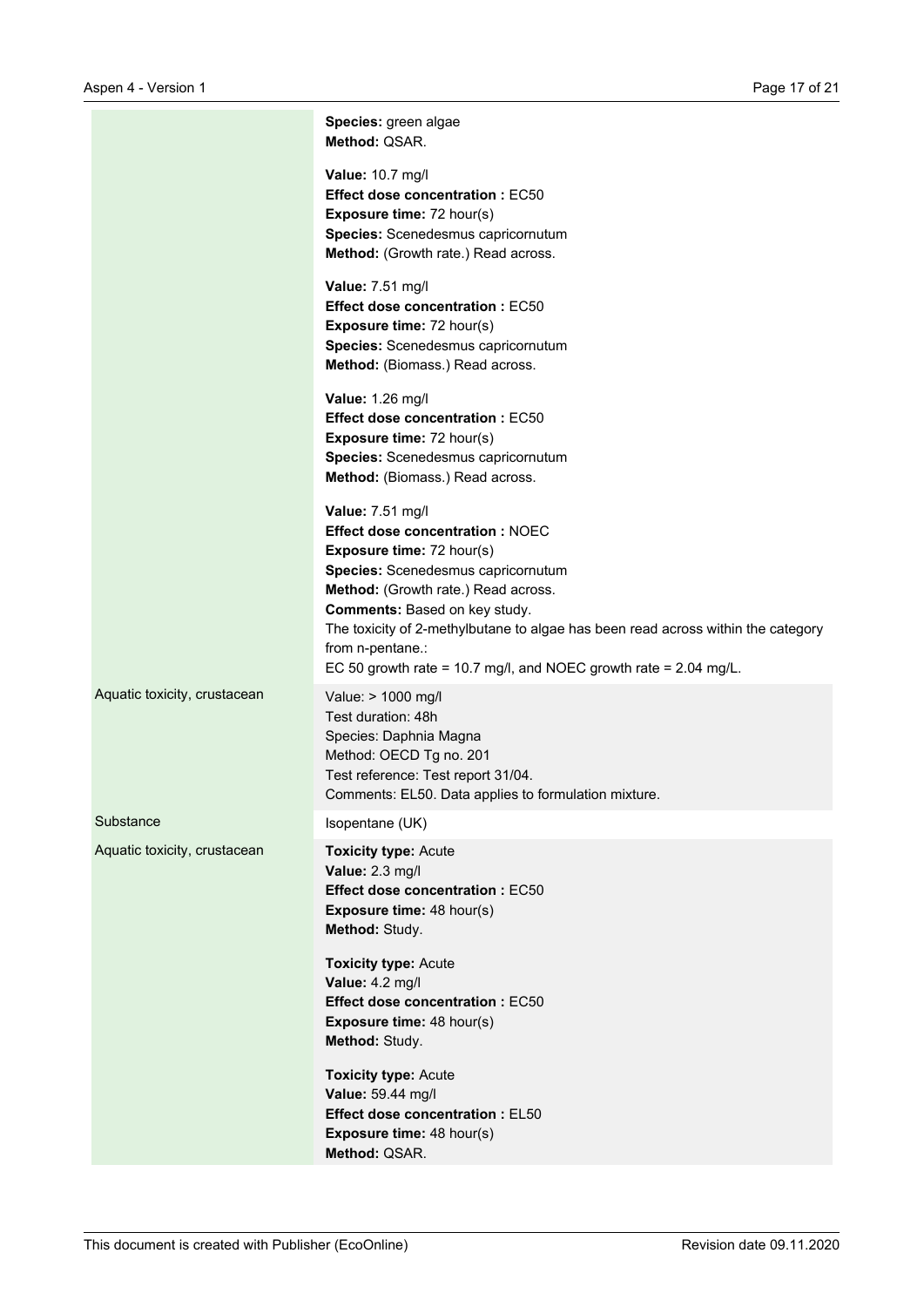|                              | Species: green algae<br>Method: QSAR.                                                                                                                                                                                                                                                                                                                                                      |
|------------------------------|--------------------------------------------------------------------------------------------------------------------------------------------------------------------------------------------------------------------------------------------------------------------------------------------------------------------------------------------------------------------------------------------|
|                              | Value: 10.7 mg/l<br><b>Effect dose concentration: EC50</b><br><b>Exposure time: 72 hour(s)</b><br>Species: Scenedesmus capricornutum<br>Method: (Growth rate.) Read across.                                                                                                                                                                                                                |
|                              | Value: 7.51 mg/l<br><b>Effect dose concentration: EC50</b><br><b>Exposure time: 72 hour(s)</b><br>Species: Scenedesmus capricornutum<br>Method: (Biomass.) Read across.                                                                                                                                                                                                                    |
|                              | Value: 1.26 mg/l<br><b>Effect dose concentration: EC50</b><br><b>Exposure time: 72 hour(s)</b><br>Species: Scenedesmus capricornutum<br>Method: (Biomass.) Read across.                                                                                                                                                                                                                    |
|                              | Value: 7.51 mg/l<br><b>Effect dose concentration: NOEC</b><br><b>Exposure time: 72 hour(s)</b><br>Species: Scenedesmus capricornutum<br>Method: (Growth rate.) Read across.<br>Comments: Based on key study.<br>The toxicity of 2-methylbutane to algae has been read across within the category<br>from n-pentane.:<br>EC 50 growth rate = 10.7 mg/l, and NOEC growth rate = $2.04$ mg/L. |
| Aquatic toxicity, crustacean | Value: > 1000 mg/l<br>Test duration: 48h<br>Species: Daphnia Magna<br>Method: OECD Tg no. 201<br>Test reference: Test report 31/04.<br>Comments: EL50. Data applies to formulation mixture.                                                                                                                                                                                                |
| Substance                    | Isopentane (UK)                                                                                                                                                                                                                                                                                                                                                                            |
| Aquatic toxicity, crustacean | <b>Toxicity type: Acute</b><br>Value: 2.3 mg/l<br><b>Effect dose concentration: EC50</b><br><b>Exposure time: 48 hour(s)</b><br>Method: Study.                                                                                                                                                                                                                                             |
|                              | <b>Toxicity type: Acute</b><br>Value: 4.2 mg/l<br><b>Effect dose concentration: EC50</b><br><b>Exposure time: 48 hour(s)</b><br>Method: Study.                                                                                                                                                                                                                                             |
|                              | <b>Toxicity type: Acute</b><br>Value: 59.44 mg/l<br><b>Effect dose concentration: EL50</b><br><b>Exposure time: 48 hour(s)</b><br>Method: QSAR.                                                                                                                                                                                                                                            |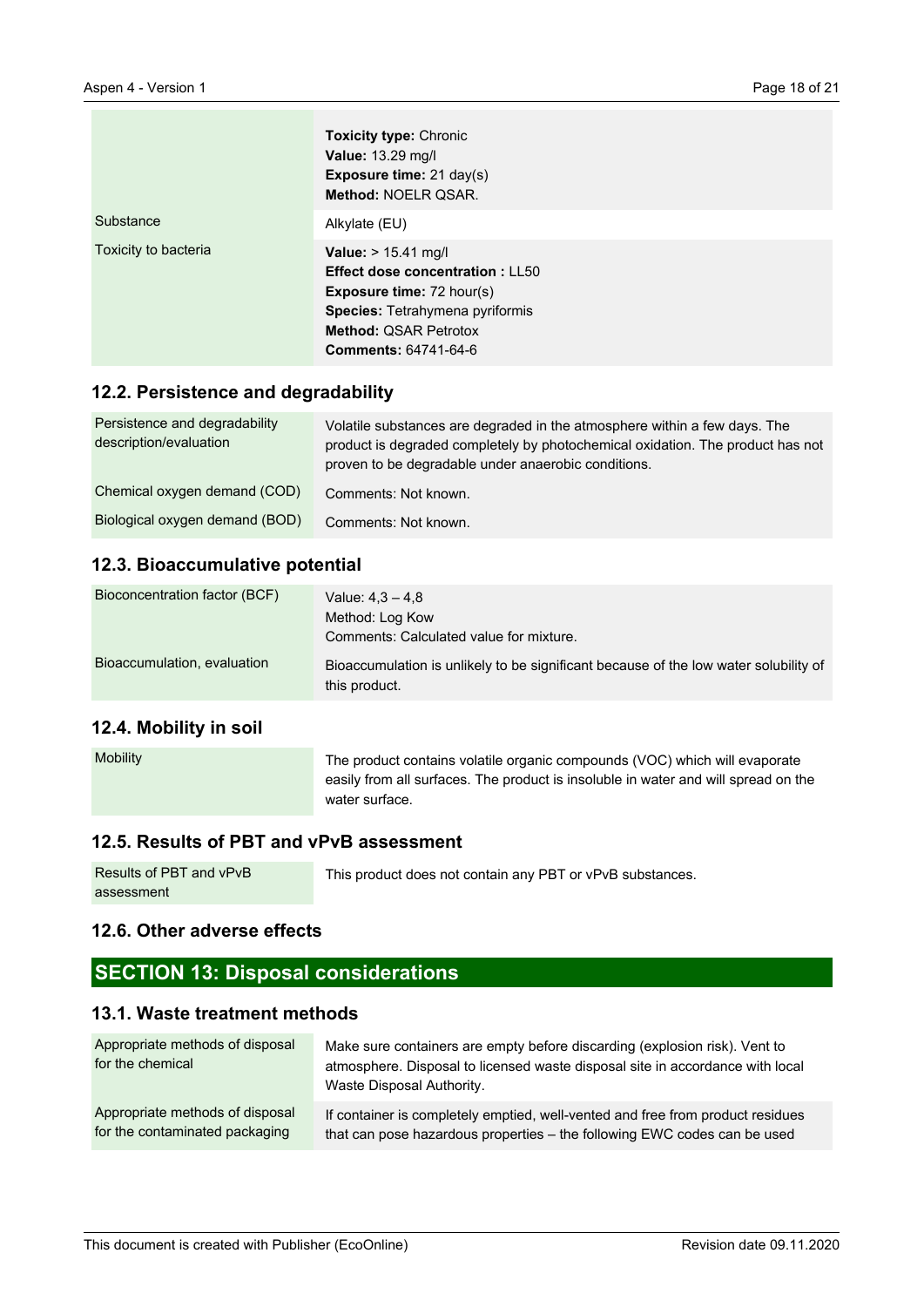|                      | <b>Toxicity type: Chronic</b><br><b>Value: 13.29 mg/l</b><br>Exposure time: 21 day(s)<br>Method: NOELR QSAR.                                                                                               |
|----------------------|------------------------------------------------------------------------------------------------------------------------------------------------------------------------------------------------------------|
| Substance            | Alkylate (EU)                                                                                                                                                                                              |
| Toxicity to bacteria | Value: > 15.41 mg/l<br><b>Effect dose concentration: LL50</b><br><b>Exposure time: 72 hour(s)</b><br><b>Species: Tetrahymena pyriformis</b><br><b>Method: QSAR Petrotox</b><br><b>Comments: 64741-64-6</b> |

#### **12.2. Persistence and degradability**

| Persistence and degradability<br>description/evaluation | Volatile substances are degraded in the atmosphere within a few days. The<br>product is degraded completely by photochemical oxidation. The product has not<br>proven to be degradable under anaerobic conditions. |
|---------------------------------------------------------|--------------------------------------------------------------------------------------------------------------------------------------------------------------------------------------------------------------------|
| Chemical oxygen demand (COD)                            | Comments: Not known.                                                                                                                                                                                               |
| Biological oxygen demand (BOD)                          | Comments: Not known.                                                                                                                                                                                               |

#### **12.3. Bioaccumulative potential**

| Bioconcentration factor (BCF) | Value: $4.3 - 4.8$                                                                                    |
|-------------------------------|-------------------------------------------------------------------------------------------------------|
|                               | Method: Log Kow                                                                                       |
|                               | Comments: Calculated value for mixture.                                                               |
| Bioaccumulation, evaluation   | Bioaccumulation is unlikely to be significant because of the low water solubility of<br>this product. |

### **12.4. Mobility in soil**

| <b>Mobility</b> | The product contains volatile organic compounds (VOC) which will evaporate         |
|-----------------|------------------------------------------------------------------------------------|
|                 | easily from all surfaces. The product is insoluble in water and will spread on the |
|                 | water surface.                                                                     |

### **12.5. Results of PBT and vPvB assessment**

| Results of PBT and vPvB | This product does not contain any PBT or vPvB substances. |
|-------------------------|-----------------------------------------------------------|
| assessment              |                                                           |

## **12.6. Other adverse effects**

# **SECTION 13: Disposal considerations**

## **13.1. Waste treatment methods**

| Appropriate methods of disposal<br>for the chemical | Make sure containers are empty before discarding (explosion risk). Vent to<br>atmosphere. Disposal to licensed waste disposal site in accordance with local<br>Waste Disposal Authority. |
|-----------------------------------------------------|------------------------------------------------------------------------------------------------------------------------------------------------------------------------------------------|
| Appropriate methods of disposal                     | If container is completely emptied, well-vented and free from product residues                                                                                                           |
| for the contaminated packaging                      | that can pose hazardous properties - the following EWC codes can be used                                                                                                                 |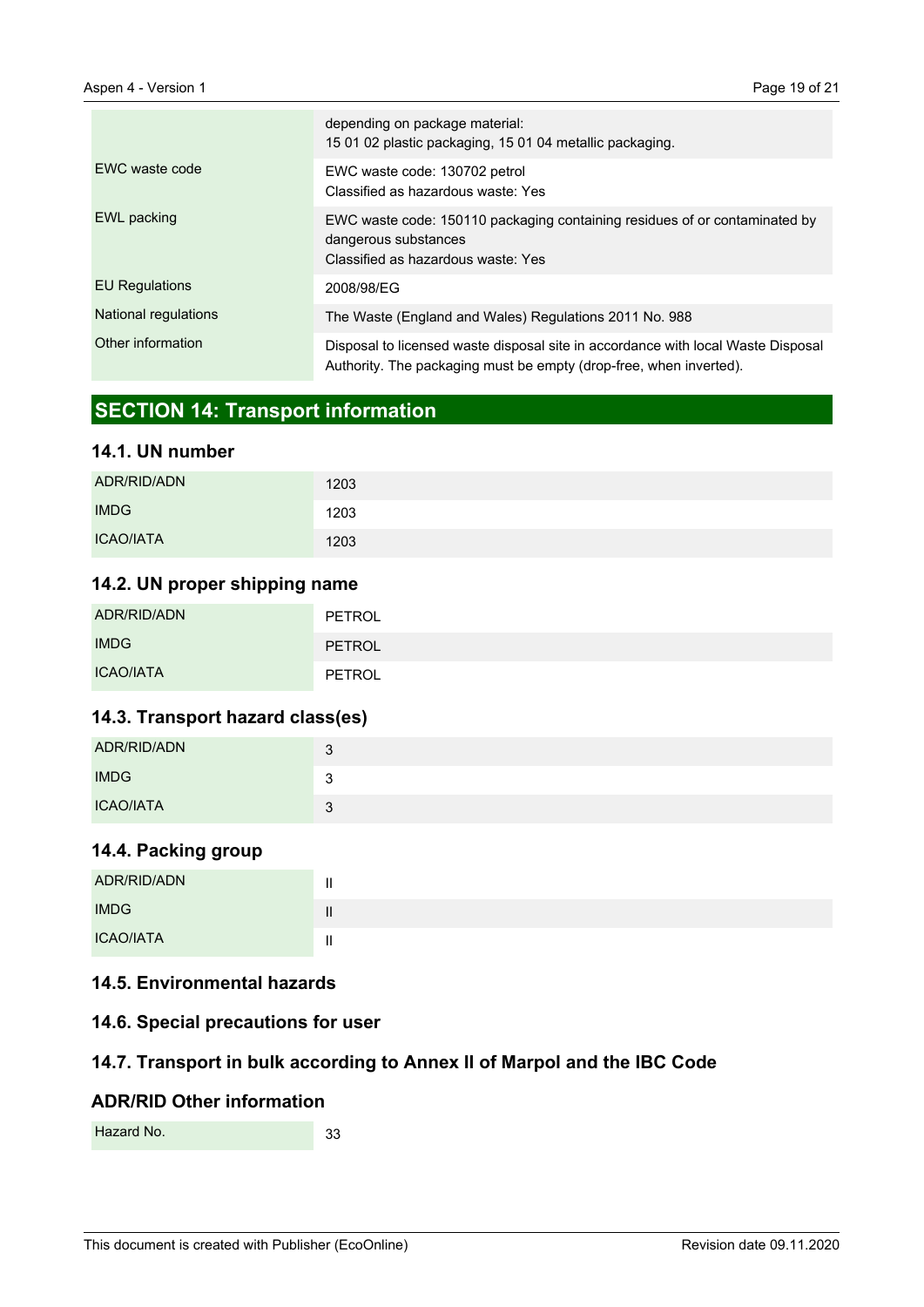|                       | depending on package material:<br>15 01 02 plastic packaging, 15 01 04 metallic packaging.                                                             |
|-----------------------|--------------------------------------------------------------------------------------------------------------------------------------------------------|
| EWC waste code        | EWC waste code: 130702 petrol<br>Classified as hazardous waste: Yes                                                                                    |
| EWL packing           | EWC waste code: 150110 packaging containing residues of or contaminated by<br>dangerous substances<br>Classified as hazardous waste: Yes               |
| <b>EU Regulations</b> | 2008/98/EG                                                                                                                                             |
| National regulations  | The Waste (England and Wales) Regulations 2011 No. 988                                                                                                 |
| Other information     | Disposal to licensed waste disposal site in accordance with local Waste Disposal<br>Authority. The packaging must be empty (drop-free, when inverted). |

# **SECTION 14: Transport information**

## **14.1. UN number**

| ADR/RID/ADN      | 1203 |
|------------------|------|
| <b>IMDG</b>      | 1203 |
| <b>ICAO/IATA</b> | 1203 |

### **14.2. UN proper shipping name**

| ADR/RID/ADN      | PETROL        |
|------------------|---------------|
| <b>IMDG</b>      | <b>PETROL</b> |
| <b>ICAO/IATA</b> | PETROL        |

## **14.3. Transport hazard class(es)**

| ADR/RID/ADN      | 3       |
|------------------|---------|
| <b>IMDG</b>      | ্ব<br>ັ |
| <b>ICAO/IATA</b> | 2<br>ມ  |

## **14.4. Packing group**

| ADR/RID/ADN      |  |
|------------------|--|
| <b>IMDG</b>      |  |
| <b>ICAO/IATA</b> |  |

### **14.5. Environmental hazards**

### **14.6. Special precautions for user**

## **14.7. Transport in bulk according to Annex II of Marpol and the IBC Code**

### **ADR/RID Other information**

33 Hazard No.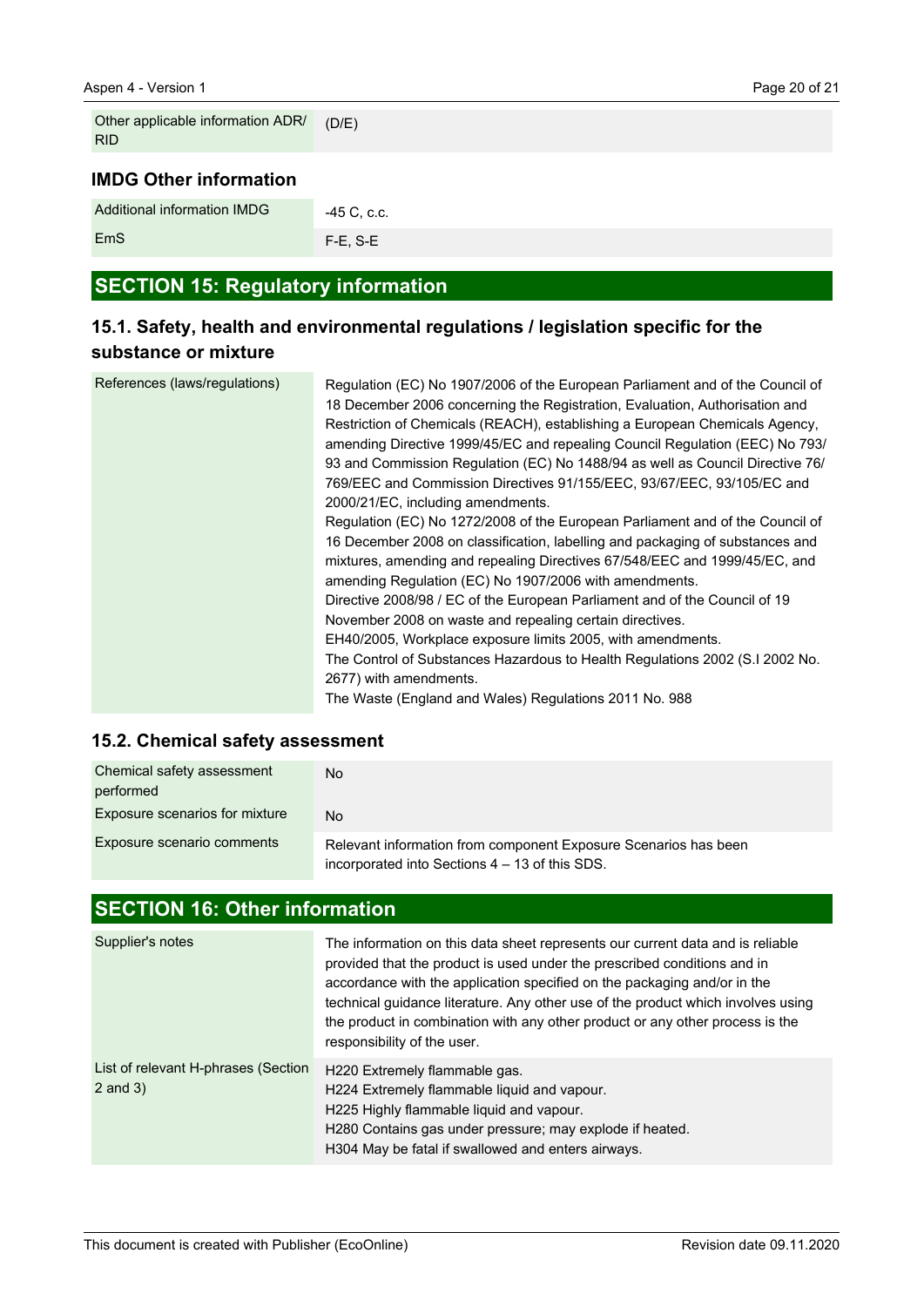EmS

| Other applicable information ADR/<br><b>RID</b> | (D/E)       |
|-------------------------------------------------|-------------|
| <b>IMDG Other information</b>                   |             |
| Additional information IMDG                     | -45 C, c.c. |

| <b>SECTION 15: Regulatory information</b> |  |  |
|-------------------------------------------|--|--|
|                                           |  |  |
|                                           |  |  |

F-E, S-E

# **15.1. Safety, health and environmental regulations / legislation specific for the substance or mixture**

| References (laws/regulations) | Regulation (EC) No 1907/2006 of the European Parliament and of the Council of<br>18 December 2006 concerning the Registration, Evaluation, Authorisation and<br>Restriction of Chemicals (REACH), establishing a European Chemicals Agency,<br>amending Directive 1999/45/EC and repealing Council Regulation (EEC) No 793/<br>93 and Commission Regulation (EC) No 1488/94 as well as Council Directive 76/<br>769/EEC and Commission Directives 91/155/EEC, 93/67/EEC, 93/105/EC and<br>2000/21/EC, including amendments. |
|-------------------------------|-----------------------------------------------------------------------------------------------------------------------------------------------------------------------------------------------------------------------------------------------------------------------------------------------------------------------------------------------------------------------------------------------------------------------------------------------------------------------------------------------------------------------------|
|                               | Regulation (EC) No 1272/2008 of the European Parliament and of the Council of                                                                                                                                                                                                                                                                                                                                                                                                                                               |
|                               | 16 December 2008 on classification, labelling and packaging of substances and                                                                                                                                                                                                                                                                                                                                                                                                                                               |
|                               | mixtures, amending and repealing Directives 67/548/EEC and 1999/45/EC, and                                                                                                                                                                                                                                                                                                                                                                                                                                                  |
|                               | amending Regulation (EC) No 1907/2006 with amendments.                                                                                                                                                                                                                                                                                                                                                                                                                                                                      |
|                               | Directive 2008/98 / EC of the European Parliament and of the Council of 19                                                                                                                                                                                                                                                                                                                                                                                                                                                  |
|                               | November 2008 on waste and repealing certain directives.                                                                                                                                                                                                                                                                                                                                                                                                                                                                    |
|                               | EH40/2005, Workplace exposure limits 2005, with amendments.                                                                                                                                                                                                                                                                                                                                                                                                                                                                 |
|                               | The Control of Substances Hazardous to Health Regulations 2002 (S.I 2002 No.                                                                                                                                                                                                                                                                                                                                                                                                                                                |
|                               | 2677) with amendments.                                                                                                                                                                                                                                                                                                                                                                                                                                                                                                      |
|                               | The Waste (England and Wales) Regulations 2011 No. 988                                                                                                                                                                                                                                                                                                                                                                                                                                                                      |

## **15.2. Chemical safety assessment**

| Chemical safety assessment<br>performed | No.                                                                                                               |
|-----------------------------------------|-------------------------------------------------------------------------------------------------------------------|
| <b>Exposure scenarios for mixture</b>   | No                                                                                                                |
| Exposure scenario comments              | Relevant information from component Exposure Scenarios has been<br>incorporated into Sections 4 – 13 of this SDS. |

# **SECTION 16: Other information**

| Supplier's notes                                    | The information on this data sheet represents our current data and is reliable<br>provided that the product is used under the prescribed conditions and in<br>accordance with the application specified on the packaging and/or in the<br>technical guidance literature. Any other use of the product which involves using<br>the product in combination with any other product or any other process is the<br>responsibility of the user. |
|-----------------------------------------------------|--------------------------------------------------------------------------------------------------------------------------------------------------------------------------------------------------------------------------------------------------------------------------------------------------------------------------------------------------------------------------------------------------------------------------------------------|
| List of relevant H-phrases (Section<br>$2$ and $3)$ | H220 Extremely flammable gas.<br>H224 Extremely flammable liquid and vapour.<br>H225 Highly flammable liguid and vapour.<br>H280 Contains gas under pressure; may explode if heated.<br>H304 May be fatal if swallowed and enters airways.                                                                                                                                                                                                 |